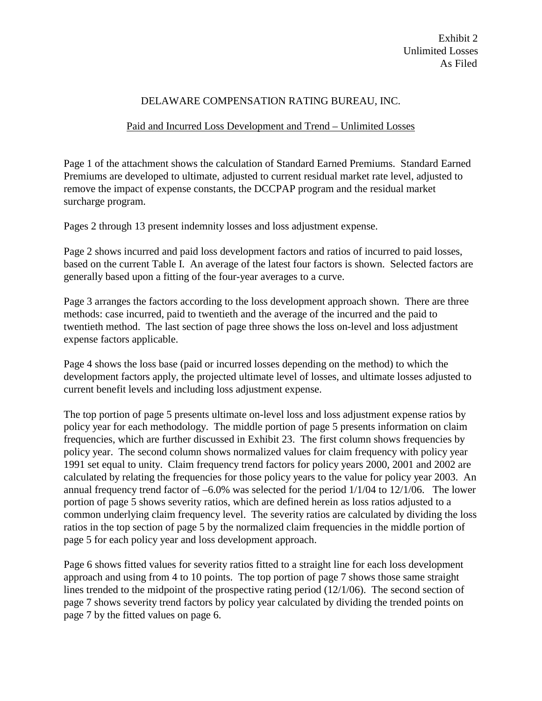## DELAWARE COMPENSATION RATING BUREAU, INC.

## Paid and Incurred Loss Development and Trend – Unlimited Losses

Page 1 of the attachment shows the calculation of Standard Earned Premiums. Standard Earned Premiums are developed to ultimate, adjusted to current residual market rate level, adjusted to remove the impact of expense constants, the DCCPAP program and the residual market surcharge program.

Pages 2 through 13 present indemnity losses and loss adjustment expense.

Page 2 shows incurred and paid loss development factors and ratios of incurred to paid losses, based on the current Table I. An average of the latest four factors is shown. Selected factors are generally based upon a fitting of the four-year averages to a curve.

Page 3 arranges the factors according to the loss development approach shown. There are three methods: case incurred, paid to twentieth and the average of the incurred and the paid to twentieth method. The last section of page three shows the loss on-level and loss adjustment expense factors applicable.

Page 4 shows the loss base (paid or incurred losses depending on the method) to which the development factors apply, the projected ultimate level of losses, and ultimate losses adjusted to current benefit levels and including loss adjustment expense.

The top portion of page 5 presents ultimate on-level loss and loss adjustment expense ratios by policy year for each methodology. The middle portion of page 5 presents information on claim frequencies, which are further discussed in Exhibit 23. The first column shows frequencies by policy year. The second column shows normalized values for claim frequency with policy year 1991 set equal to unity. Claim frequency trend factors for policy years 2000, 2001 and 2002 are calculated by relating the frequencies for those policy years to the value for policy year 2003. An annual frequency trend factor of –6.0% was selected for the period 1/1/04 to 12/1/06. The lower portion of page 5 shows severity ratios, which are defined herein as loss ratios adjusted to a common underlying claim frequency level. The severity ratios are calculated by dividing the loss ratios in the top section of page 5 by the normalized claim frequencies in the middle portion of page 5 for each policy year and loss development approach.

Page 6 shows fitted values for severity ratios fitted to a straight line for each loss development approach and using from 4 to 10 points. The top portion of page 7 shows those same straight lines trended to the midpoint of the prospective rating period (12/1/06). The second section of page 7 shows severity trend factors by policy year calculated by dividing the trended points on page 7 by the fitted values on page 6.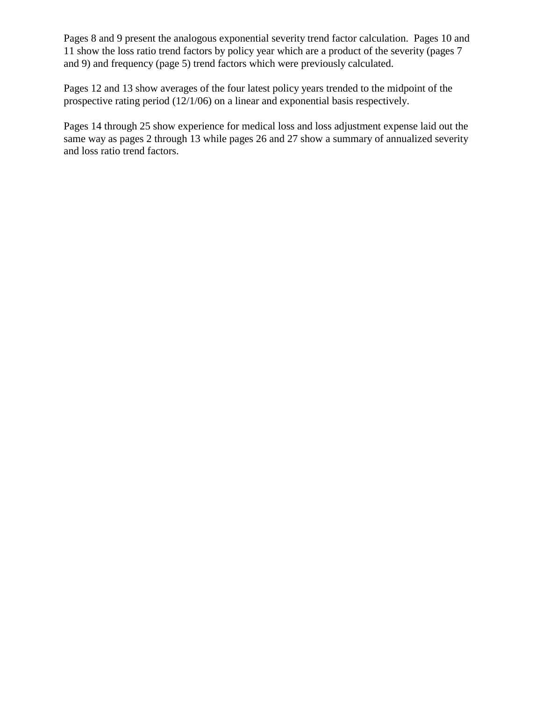Pages 8 and 9 present the analogous exponential severity trend factor calculation. Pages 10 and 11 show the loss ratio trend factors by policy year which are a product of the severity (pages 7 and 9) and frequency (page 5) trend factors which were previously calculated.

Pages 12 and 13 show averages of the four latest policy years trended to the midpoint of the prospective rating period (12/1/06) on a linear and exponential basis respectively.

Pages 14 through 25 show experience for medical loss and loss adjustment expense laid out the same way as pages 2 through 13 while pages 26 and 27 show a summary of annualized severity and loss ratio trend factors.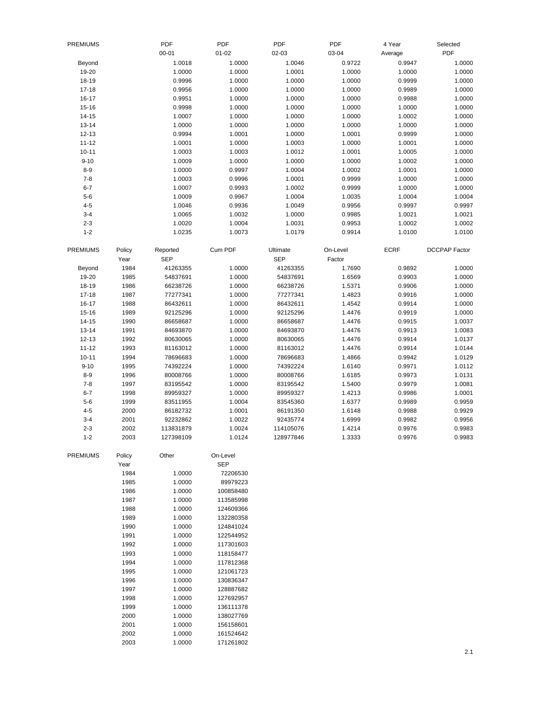| <b>PREMIUMS</b> |        | PDF        | PDF        | PDF        | PDF      | 4 Year      | Selected             |
|-----------------|--------|------------|------------|------------|----------|-------------|----------------------|
|                 |        | $00 - 01$  | $01 - 02$  | 02-03      | 03-04    | Average     | <b>PDF</b>           |
| Beyond          |        | 1.0018     | 1.0000     | 1.0046     | 0.9722   | 0.9947      | 1.0000               |
| 19-20           |        | 1.0000     | 1.0000     | 1.0001     | 1.0000   | 1.0000      | 1.0000               |
| $18 - 19$       |        | 0.9996     | 1.0000     | 1.0000     | 1.0000   | 0.9999      | 1.0000               |
| $17 - 18$       |        | 0.9956     | 1.0000     | 1.0000     | 1.0000   | 0.9989      | 1.0000               |
| $16 - 17$       |        | 0.9951     | 1.0000     | 1.0000     | 1.0000   | 0.9988      | 1.0000               |
| $15 - 16$       |        | 0.9998     | 1.0000     | 1.0000     | 1.0000   | 1.0000      | 1.0000               |
| $14 - 15$       |        | 1.0007     | 1.0000     | 1.0000     | 1.0000   | 1.0002      | 1.0000               |
| $13 - 14$       |        | 1.0000     | 1.0000     | 1.0000     | 1.0000   | 1.0000      | 1.0000               |
| $12 - 13$       |        |            |            |            |          |             |                      |
|                 |        | 0.9994     | 1.0001     | 1.0000     | 1.0001   | 0.9999      | 1.0000               |
| $11 - 12$       |        | 1.0001     | 1.0000     | 1.0003     | 1.0000   | 1.0001      | 1.0000               |
| $10 - 11$       |        | 1.0003     | 1.0003     | 1.0012     | 1.0001   | 1.0005      | 1.0000               |
| $9 - 10$        |        | 1.0009     | 1.0000     | 1.0000     | 1.0000   | 1.0002      | 1.0000               |
| $8 - 9$         |        | 1.0000     | 0.9997     | 1.0004     | 1.0002   | 1.0001      | 1.0000               |
| $7 - 8$         |        | 1.0003     | 0.9996     | 1.0001     | 0.9999   | 1.0000      | 1.0000               |
| $6 - 7$         |        | 1.0007     | 0.9993     | 1.0002     | 0.9999   | 1.0000      | 1.0000               |
| $5-6$           |        | 1.0009     | 0.9967     | 1.0004     | 1.0035   | 1.0004      | 1.0004               |
| $4 - 5$         |        | 1.0046     | 0.9936     | 1.0049     | 0.9956   | 0.9997      | 0.9997               |
| $3 - 4$         |        | 1.0065     | 1.0032     | 1.0000     | 0.9985   | 1.0021      | 1.0021               |
| $2 - 3$         |        | 1.0020     | 1.0004     | 1.0031     | 0.9953   | 1.0002      | 1.0002               |
| $1 - 2$         |        | 1.0235     | 1.0073     | 1.0179     | 0.9914   | 1.0100      | 1.0100               |
| <b>PREMIUMS</b> | Policy | Reported   | Cum PDF    | Ultimate   | On-Level | <b>ECRF</b> | <b>DCCPAP Factor</b> |
|                 | Year   | <b>SEP</b> |            | <b>SEP</b> | Factor   |             |                      |
| Beyond          | 1984   | 41263355   | 1.0000     | 41263355   | 1.7690   | 0.9892      | 1.0000               |
| 19-20           | 1985   | 54837691   | 1.0000     | 54837691   | 1.6569   | 0.9903      | 1.0000               |
| 18-19           | 1986   | 66238726   | 1.0000     | 66238726   | 1.5371   | 0.9906      | 1.0000               |
| $17 - 18$       | 1987   | 77277341   | 1.0000     | 77277341   | 1.4823   | 0.9916      | 1.0000               |
| 16-17           | 1988   | 86432611   | 1.0000     | 86432611   | 1.4542   | 0.9914      | 1.0000               |
| $15 - 16$       | 1989   | 92125296   | 1.0000     | 92125296   | 1.4476   | 0.9919      | 1.0000               |
| $14 - 15$       | 1990   | 86658687   | 1.0000     | 86658687   | 1.4476   | 0.9915      | 1.0037               |
| $13 - 14$       | 1991   | 84693870   | 1.0000     | 84693870   | 1.4476   | 0.9913      | 1.0083               |
| $12 - 13$       | 1992   | 80630065   | 1.0000     | 80630065   | 1.4476   | 0.9914      | 1.0137               |
| $11 - 12$       | 1993   | 81163012   | 1.0000     | 81163012   | 1.4476   | 0.9914      | 1.0144               |
| $10 - 11$       | 1994   | 78696683   | 1.0000     | 78696683   | 1.4866   | 0.9942      | 1.0129               |
| $9 - 10$        | 1995   | 74392224   | 1.0000     | 74392224   | 1.6140   | 0.9971      | 1.0112               |
| $8 - 9$         | 1996   | 80008766   | 1.0000     | 80008766   | 1.6185   | 0.9973      | 1.0131               |
| $7 - 8$         | 1997   | 83195542   | 1.0000     | 83195542   | 1.5400   | 0.9979      | 1.0081               |
| $6 - 7$         | 1998   | 89959327   | 1.0000     | 89959327   | 1.4213   | 0.9986      | 1.0001               |
| $5-6$           | 1999   | 83511955   | 1.0004     | 83545360   | 1.6377   | 0.9989      | 0.9959               |
| $4 - 5$         | 2000   | 86182732   | 1.0001     | 86191350   | 1.6148   | 0.9988      | 0.9929               |
| $3 - 4$         | 2001   | 92232862   | 1.0022     | 92435774   | 1.6999   | 0.9982      | 0.9956               |
| $2 - 3$         | 2002   | 113831879  | 1.0024     | 114105076  | 1.4214   | 0.9976      | 0.9983               |
| $1 - 2$         | 2003   | 127398109  | 1.0124     | 128977846  | 1.3333   | 0.9976      | 0.9983               |
| <b>PREMIUMS</b> | Policy | Other      | On-Level   |            |          |             |                      |
|                 | Year   |            | <b>SEP</b> |            |          |             |                      |
|                 | 1984   | 1.0000     | 72206530   |            |          |             |                      |
|                 | 1985   | 1.0000     | 89979223   |            |          |             |                      |
|                 | 1986   | 1.0000     | 100858480  |            |          |             |                      |
|                 | 1987   | 1.0000     | 113585998  |            |          |             |                      |
|                 | 1988   | 1.0000     | 124609366  |            |          |             |                      |
|                 | 1989   | 1.0000     | 132280358  |            |          |             |                      |
|                 | 1990   | 1.0000     | 124841024  |            |          |             |                      |
|                 | 1991   | 1.0000     | 122544952  |            |          |             |                      |
|                 | 1992   | 1.0000     | 117301603  |            |          |             |                      |
|                 | 1993   | 1.0000     | 118158477  |            |          |             |                      |
|                 | 1994   | 1.0000     | 117812368  |            |          |             |                      |
|                 | 1995   | 1.0000     | 121061723  |            |          |             |                      |
|                 | 1996   | 1.0000     | 130836347  |            |          |             |                      |
|                 | 1997   | 1.0000     | 128887682  |            |          |             |                      |
|                 | 1998   | 1.0000     | 127692957  |            |          |             |                      |
|                 |        |            |            |            |          |             |                      |
|                 | 1999   | 1.0000     | 136111378  |            |          |             |                      |
|                 | 2000   | 1.0000     | 138027769  |            |          |             |                      |
|                 | 2001   | 1.0000     | 156158601  |            |          |             |                      |
|                 | 2002   | 1.0000     | 161524642  |            |          |             |                      |
|                 | 2003   | 1.0000     | 171261802  |            |          |             |                      |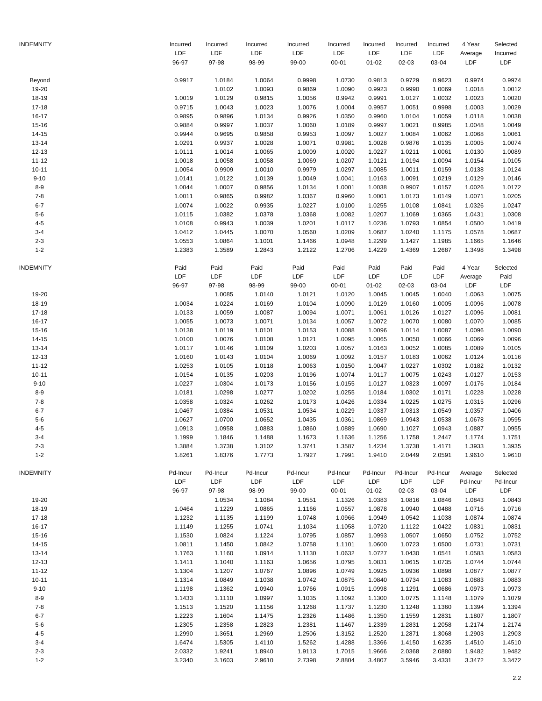| INDEMNITY              | Incurred         | Incurred         | Incurred         | Incurred         | Incurred         | Incurred            | Incurred         | Incurred         | 4 Year              | Selected             |
|------------------------|------------------|------------------|------------------|------------------|------------------|---------------------|------------------|------------------|---------------------|----------------------|
|                        | LDF<br>96-97     | LDF<br>97-98     | LDF<br>98-99     | LDF<br>99-00     | LDF<br>$00 - 01$ | LDF<br>$01 - 02$    | LDF<br>02-03     | LDF<br>03-04     | Average<br>LDF      | Incurred<br>LDF      |
|                        |                  |                  |                  |                  |                  |                     |                  |                  |                     |                      |
| Beyond                 | 0.9917           | 1.0184           | 1.0064           | 0.9998           | 1.0730           | 0.9813              | 0.9729           | 0.9623           | 0.9974              | 0.9974               |
| 19-20                  |                  | 1.0102           | 1.0093           | 0.9869           | 1.0090           | 0.9923              | 0.9990           | 1.0069           | 1.0018              | 1.0012               |
| 18-19                  | 1.0019           | 1.0129           | 0.9815           | 1.0056           | 0.9942           | 0.9991              | 1.0127           | 1.0032           | 1.0023              | 1.0020               |
| $17 - 18$              | 0.9715           | 1.0043           | 1.0023           | 1.0076           | 1.0004           | 0.9957              | 1.0051           | 0.9998           | 1.0003              | 1.0029               |
| $16 - 17$              | 0.9895           | 0.9896           | 1.0134           | 0.9926           | 1.0350           | 0.9960              | 1.0104           | 1.0059           | 1.0118              | 1.0038               |
| $15 - 16$              | 0.9884<br>0.9944 | 0.9997           | 1.0037           | 1.0060           | 1.0189           | 0.9997<br>1.0027    | 1.0021<br>1.0084 | 0.9985           | 1.0048<br>1.0068    | 1.0049<br>1.0061     |
| $14 - 15$<br>$13 - 14$ | 1.0291           | 0.9695<br>0.9937 | 0.9858<br>1.0028 | 0.9953<br>1.0071 | 1.0097<br>0.9981 | 1.0028              | 0.9876           | 1.0062<br>1.0135 | 1.0005              | 1.0074               |
| $12 - 13$              | 1.0111           | 1.0014           | 1.0065           | 1.0009           | 1.0020           | 1.0227              | 1.0211           | 1.0061           | 1.0130              | 1.0089               |
| $11 - 12$              | 1.0018           | 1.0058           | 1.0058           | 1.0069           | 1.0207           | 1.0121              | 1.0194           | 1.0094           | 1.0154              | 1.0105               |
| $10 - 11$              | 1.0054           | 0.9909           | 1.0010           | 0.9979           | 1.0297           | 1.0085              | 1.0011           | 1.0159           | 1.0138              | 1.0124               |
| $9 - 10$               | 1.0141           | 1.0122           | 1.0139           | 1.0049           | 1.0041           | 1.0163              | 1.0091           | 1.0219           | 1.0129              | 1.0146               |
| $8 - 9$                | 1.0044           | 1.0007           | 0.9856           | 1.0134           | 1.0001           | 1.0038              | 0.9907           | 1.0157           | 1.0026              | 1.0172               |
| $7 - 8$                | 1.0011           | 0.9865           | 0.9982           | 1.0367           | 0.9960           | 1.0001              | 1.0173           | 1.0149           | 1.0071              | 1.0205               |
| $6 - 7$                | 1.0074           | 1.0022           | 0.9935           | 1.0227           | 1.0100           | 1.0255              | 1.0108           | 1.0841           | 1.0326              | 1.0247               |
| $5-6$                  | 1.0115           | 1.0382           | 1.0378           | 1.0368           | 1.0082           | 1.0207              | 1.1069           | 1.0365           | 1.0431              | 1.0308               |
| $4 - 5$                | 1.0108           | 0.9943           | 1.0039           | 1.0201           | 1.0117           | 1.0236              | 1.0793           | 1.0854           | 1.0500              | 1.0419               |
| $3 - 4$                | 1.0412           | 1.0445           | 1.0070           | 1.0560           | 1.0209           | 1.0687              | 1.0240           | 1.1175           | 1.0578              | 1.0687               |
| $2 - 3$                | 1.0553           | 1.0864           | 1.1001           | 1.1466           | 1.0948           | 1.2299              | 1.1427           | 1.1985           | 1.1665              | 1.1646               |
| $1 - 2$                | 1.2383           | 1.3589           | 1.2843           | 1.2122           | 1.2706           | 1.4229              | 1.4369           | 1.2687           | 1.3498              | 1.3498               |
|                        |                  |                  |                  |                  |                  |                     |                  |                  |                     |                      |
| INDEMNITY              | Paid             | Paid<br>LDF      | Paid<br>LDF      | Paid<br>LDF      | Paid             | Paid                | Paid             | Paid             | 4 Year              | Selected             |
|                        | LDF              | 97-98            | 98-99            | 99-00            | LDF<br>$00 - 01$ | LDF                 | LDF              | LDF              | Average<br>LDF      | Paid<br>LDF          |
| 19-20                  | 96-97            | 1.0085           | 1.0140           | 1.0121           | 1.0120           | $01 - 02$<br>1.0045 | 02-03<br>1.0045  | 03-04<br>1.0040  | 1.0063              | 1.0075               |
| 18-19                  | 1.0034           | 1.0224           | 1.0169           | 1.0104           | 1.0090           | 1.0129              | 1.0160           | 1.0005           | 1.0096              | 1.0078               |
| $17 - 18$              | 1.0133           | 1.0059           | 1.0087           | 1.0094           | 1.0071           | 1.0061              | 1.0126           | 1.0127           | 1.0096              | 1.0081               |
| $16 - 17$              | 1.0055           | 1.0073           | 1.0071           | 1.0134           | 1.0057           | 1.0072              | 1.0070           | 1.0080           | 1.0070              | 1.0085               |
|                        | 1.0138           |                  |                  |                  |                  | 1.0096              | 1.0114           | 1.0087           | 1.0096              | 1.0090               |
| $15 - 16$<br>$14 - 15$ | 1.0100           | 1.0119<br>1.0076 | 1.0101<br>1.0108 | 1.0153<br>1.0121 | 1.0088<br>1.0095 | 1.0065              | 1.0050           | 1.0066           | 1.0069              | 1.0096               |
| $13 - 14$              | 1.0117           | 1.0146           | 1.0109           | 1.0203           | 1.0057           | 1.0163              | 1.0052           | 1.0085           | 1.0089              | 1.0105               |
| $12 - 13$              | 1.0160           | 1.0143           | 1.0104           | 1.0069           | 1.0092           | 1.0157              | 1.0183           | 1.0062           | 1.0124              | 1.0116               |
| $11 - 12$              | 1.0253           | 1.0105           | 1.0118           | 1.0063           | 1.0150           | 1.0047              | 1.0227           | 1.0302           | 1.0182              | 1.0132               |
| $10 - 11$              | 1.0154           | 1.0135           | 1.0203           | 1.0196           | 1.0074           | 1.0117              | 1.0075           | 1.0243           | 1.0127              | 1.0153               |
| $9 - 10$               | 1.0227           | 1.0304           | 1.0173           | 1.0156           | 1.0155           | 1.0127              | 1.0323           | 1.0097           | 1.0176              | 1.0184               |
| $8 - 9$                | 1.0181           | 1.0298           | 1.0277           | 1.0202           | 1.0255           | 1.0184              | 1.0302           | 1.0171           | 1.0228              | 1.0228               |
| $7 - 8$                | 1.0358           | 1.0324           | 1.0262           | 1.0173           | 1.0426           | 1.0334              | 1.0225           | 1.0275           | 1.0315              | 1.0296               |
| $6 - 7$                | 1.0467           | 1.0384           | 1.0531           | 1.0534           | 1.0229           | 1.0337              | 1.0313           | 1.0549           | 1.0357              | 1.0406               |
| $5-6$                  | 1.0627           | 1.0700           | 1.0652           | 1.0435           | 1.0361           | 1.0869              | 1.0943           | 1.0538           | 1.0678              | 1.0595               |
| $4 - 5$                | 1.0913           | 1.0958           | 1.0883           | 1.0860           | 1.0889           | 1.0690              | 1.1027           | 1.0943           | 1.0887              | 1.0955               |
| $3 - 4$                | 1.1999           | 1.1846           | 1.1488           | 1.1673           | 1.1636           | 1.1256              | 1.1758           | 1.2447           | 1.1774              | 1.1751               |
| $2 - 3$                | 1.3884           | 1.3738           | 1.3102           | 1.3741           | 1.3587           | 1.4234              | 1.3738           | 1.4171           | 1.3933              | 1.3935               |
| $1 - 2$                | 1.8261           | 1.8376           | 1.7773           | 1.7927           | 1.7991           | 1.9410              | 2.0449           | 2.0591           | 1.9610              | 1.9610               |
|                        |                  |                  |                  |                  |                  |                     |                  |                  |                     |                      |
| <b>INDEMNITY</b>       | Pd-Incur<br>LDF  | Pd-Incur<br>LDF  | Pd-Incur<br>LDF  | Pd-Incur<br>LDF  | Pd-Incur<br>LDF  | Pd-Incur<br>LDF     | Pd-Incur<br>LDF  | Pd-Incur<br>LDF  | Average<br>Pd-Incur | Selected<br>Pd-Incur |
|                        | 96-97            | 97-98            | 98-99            | 99-00            | $00 - 01$        | $01 - 02$           | 02-03            | 03-04            | LDF                 | LDF                  |
| 19-20                  |                  | 1.0534           | 1.1084           | 1.0551           | 1.1326           | 1.0383              | 1.0816           | 1.0846           | 1.0843              | 1.0843               |
| 18-19                  | 1.0464           | 1.1229           | 1.0865           | 1.1166           | 1.0557           | 1.0878              | 1.0940           | 1.0488           | 1.0716              | 1.0716               |
| $17 - 18$              | 1.1232           | 1.1135           | 1.1199           | 1.0748           | 1.0966           | 1.0949              | 1.0542           | 1.1038           | 1.0874              | 1.0874               |
| $16 - 17$              | 1.1149           | 1.1255           | 1.0741           | 1.1034           | 1.1058           | 1.0720              | 1.1122           | 1.0422           | 1.0831              | 1.0831               |
| $15 - 16$              | 1.1530           | 1.0824           | 1.1224           | 1.0795           | 1.0857           | 1.0993              | 1.0507           | 1.0650           | 1.0752              | 1.0752               |
| 14-15                  | 1.0811           | 1.1450           | 1.0842           | 1.0758           | 1.1101           | 1.0600              | 1.0723           | 1.0500           | 1.0731              | 1.0731               |
| $13 - 14$              | 1.1763           | 1.1160           | 1.0914           | 1.1130           | 1.0632           | 1.0727              | 1.0430           | 1.0541           | 1.0583              | 1.0583               |
| $12 - 13$              | 1.1411           | 1.1040           | 1.1163           | 1.0656           | 1.0795           | 1.0831              | 1.0615           | 1.0735           | 1.0744              | 1.0744               |
| $11 - 12$              | 1.1304           | 1.1207           | 1.0767           | 1.0896           | 1.0749           | 1.0925              | 1.0936           | 1.0898           | 1.0877              | 1.0877               |
| $10 - 11$              | 1.1314           | 1.0849           | 1.1038           | 1.0742           | 1.0875           | 1.0840              | 1.0734           | 1.1083           | 1.0883              | 1.0883               |
| $9 - 10$               | 1.1198           | 1.1362           | 1.0940           | 1.0766           | 1.0915           | 1.0998              | 1.1291           | 1.0686           | 1.0973              | 1.0973               |
| $8-9$                  | 1.1433           | 1.1110           | 1.0997           | 1.1035           | 1.1092           | 1.1300              | 1.0775           | 1.1148           | 1.1079              | 1.1079               |
| $7 - 8$                | 1.1513           | 1.1520           | 1.1156           | 1.1268           | 1.1737           | 1.1230              | 1.1248           | 1.1360           | 1.1394              | 1.1394               |
| $6 - 7$                | 1.2223           | 1.1604           | 1.1475           | 1.2326           | 1.1486           | 1.1350              | 1.1559           | 1.2831           | 1.1807              | 1.1807               |
| $5-6$                  | 1.2305           | 1.2358           | 1.2823           | 1.2381           | 1.1467           | 1.2339              | 1.2831           | 1.2058           | 1.2174              | 1.2174               |
| $4 - 5$                | 1.2990           | 1.3651           | 1.2969           | 1.2506           | 1.3152           | 1.2520              | 1.2871           | 1.3068           | 1.2903              | 1.2903               |
| $3 - 4$                | 1.6474           | 1.5305           | 1.4110           | 1.5262           | 1.4288           | 1.3366              | 1.4150           | 1.6235           | 1.4510              | 1.4510               |
| $2 - 3$                | 2.0332           | 1.9241           | 1.8940           | 1.9113           | 1.7015           | 1.9666              | 2.0368           | 2.0880           | 1.9482              | 1.9482               |
| $1 - 2$                | 3.2340           | 3.1603           | 2.9610           | 2.7398           | 2.8804           | 3.4807              | 3.5946           | 3.4331           | 3.3472              | 3.3472               |
|                        |                  |                  |                  |                  |                  |                     |                  |                  |                     |                      |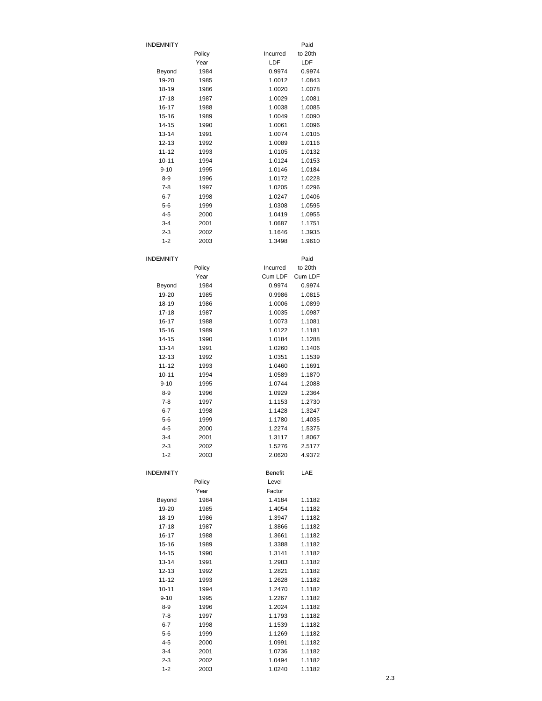| <b>INDEMNITY</b>   |              |                  | Paid             |
|--------------------|--------------|------------------|------------------|
|                    | Policy       | Incurred         | to 20th          |
|                    | Year         | LDF              | LDF              |
| Beyond             | 1984         | 0.9974           | 0.9974           |
| 19-20              | 1985         | 1.0012           | 1.0843           |
| 18-19              | 1986         | 1.0020           | 1.0078           |
| $17 - 18$<br>16-17 | 1987<br>1988 | 1.0029<br>1.0038 | 1.0081<br>1.0085 |
| 15-16              | 1989         | 1.0049           | 1.0090           |
| 14-15              | 1990         | 1.0061           | 1.0096           |
| $13 - 14$          | 1991         | 1.0074           | 1.0105           |
| $12 - 13$          | 1992         | 1.0089           | 1.0116           |
| $11 - 12$          | 1993         | 1.0105           | 1.0132           |
| $10 - 11$          | 1994         | 1.0124           | 1.0153           |
| $9 - 10$           | 1995         | 1.0146           | 1.0184           |
| 8-9                | 1996         | 1.0172           | 1.0228           |
| $7 - 8$            | 1997         | 1.0205           | 1.0296           |
| $6 - 7$            | 1998         | 1.0247           | 1.0406           |
| $5-6$<br>$4 - 5$   | 1999<br>2000 | 1.0308<br>1.0419 | 1.0595<br>1.0955 |
| $3 - 4$            | 2001         | 1.0687           | 1.1751           |
| $2 - 3$            | 2002         | 1.1646           | 1.3935           |
| $1 - 2$            | 2003         | 1.3498           | 1.9610           |
|                    |              |                  |                  |
| <b>INDEMNITY</b>   |              |                  | Paid             |
|                    | Policy       | Incurred         | to 20th          |
|                    | Year         | Cum LDF          | Cum LDF          |
| Beyond             | 1984         | 0.9974           | 0.9974           |
| 19-20              | 1985         | 0.9986           | 1.0815           |
| 18-19              | 1986         | 1.0006           | 1.0899           |
| 17-18<br>16-17     | 1987<br>1988 | 1.0035<br>1.0073 | 1.0987<br>1.1081 |
| 15-16              | 1989         | 1.0122           | 1.1181           |
| 14-15              | 1990         | 1.0184           | 1.1288           |
| $13 - 14$          | 1991         | 1.0260           | 1.1406           |
| $12 - 13$          | 1992         | 1.0351           | 1.1539           |
| 11-12              | 1993         | 1.0460           | 1.1691           |
| 10-11              | 1994         | 1.0589           | 1.1870           |
| $9 - 10$           | 1995         | 1.0744           | 1.2088           |
| 8-9                | 1996         | 1.0929           | 1.2364           |
| $7 - 8$            | 1997         | 1.1153           | 1.2730           |
| 6-7                | 1998         | 1.1428           | 1.3247           |
| $5-6$<br>$4 - 5$   | 1999<br>2000 | 1.1780<br>1.2274 | 1.4035<br>1.5375 |
| 3-4                | 2001         | 1.3117           | 1.8067           |
| $2 - 3$            | 2002         | 1.5276           | 2.5177           |
| $1 - 2$            | 2003         | 2.0620           | 4.9372           |
|                    |              |                  |                  |
| <b>INDEMNITY</b>   |              | Benefit          | LAE              |
|                    | Policy       | Level            |                  |
|                    | Year         | Factor           |                  |
| Beyond             | 1984         | 1.4184           | 1.1182           |
| 19-20<br>18-19     | 1985         | 1.4054<br>1.3947 | 1.1182<br>1.1182 |
| $17 - 18$          | 1986<br>1987 | 1.3866           | 1.1182           |
| 16-17              | 1988         | 1.3661           | 1.1182           |
| 15-16              | 1989         | 1.3388           | 1.1182           |
| 14-15              | 1990         | 1.3141           | 1.1182           |
| 13-14              | 1991         | 1.2983           | 1.1182           |
| 12-13              | 1992         | 1.2821           | 1.1182           |
| 11-12              | 1993         | 1.2628           | 1.1182           |
| $10 - 11$          | 1994         | 1.2470           | 1.1182           |
| $9 - 10$           | 1995         | 1.2267           | 1.1182           |
| $8-9$              | 1996         | 1.2024           | 1.1182           |
| $7 - 8$<br>$6 - 7$ | 1997<br>1998 | 1.1793<br>1.1539 | 1.1182<br>1.1182 |
| $5 - 6$            | 1999         | 1.1269           | 1.1182           |
| $4 - 5$            | 2000         | 1.0991           | 1.1182           |
| $3 - 4$            | 2001         | 1.0736           | 1.1182           |
| $2 - 3$            | 2002         | 1.0494           | 1.1182           |
| $1 - 2$            | 2003         | 1.0240           | 1.1182           |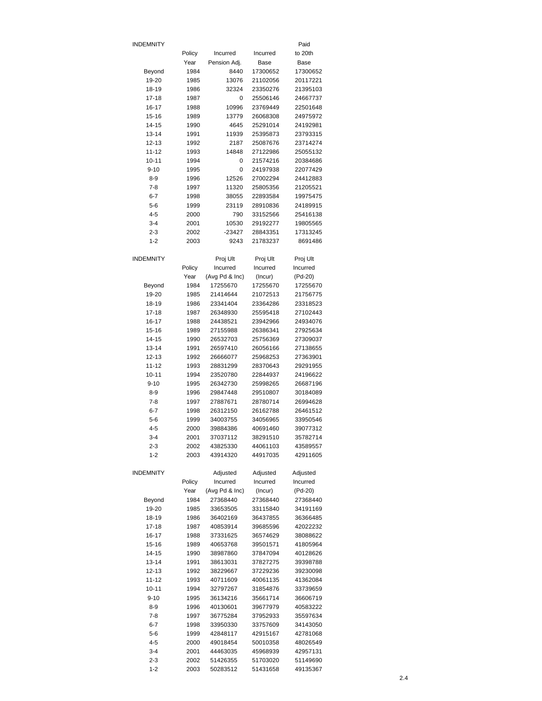| INDEMNITY          |              |                      |                      | Paid                 |
|--------------------|--------------|----------------------|----------------------|----------------------|
|                    | Policy       | Incurred             | Incurred             | to 20th              |
|                    | Year         | Pension Adj.         | Base                 | Base                 |
| Beyond             | 1984         | 8440                 | 17300652             | 17300652             |
| 19-20              | 1985         | 13076<br>32324       | 21102056             | 20117221             |
| 18-19<br>17-18     | 1986<br>1987 | 0                    | 23350276<br>25506146 | 21395103<br>24667737 |
| 16-17              | 1988         | 10996                | 23769449             | 22501648             |
| 15-16              | 1989         | 13779                | 26068308             | 24975972             |
| 14-15              | 1990         | 4645                 | 25291014             | 24192981             |
| $13 - 14$          | 1991         | 11939                | 25395873             | 23793315             |
| 12-13              | 1992         | 2187                 | 25087676             | 23714274             |
| $11 - 12$          | 1993         | 14848                | 27122986             | 25055132             |
| $10 - 11$          | 1994         | 0                    | 21574216             | 20384686             |
| $9 - 10$           | 1995         | 0                    | 24197938             | 22077429             |
| 8-9                | 1996         | 12526                | 27002294             | 24412883             |
| $7 - 8$            | 1997         | 11320                | 25805356             | 21205521             |
| 6-7                | 1998         | 38055                | 22893584             | 19975475             |
| $5 - 6$            | 1999         | 23119                | 28910836             | 24189915             |
| $4 - 5$<br>$3 - 4$ | 2000<br>2001 | 790<br>10530         | 33152566<br>29192277 | 25416138<br>19805565 |
| 2-3                | 2002         | -23427               | 28843351             | 17313245             |
| $1 - 2$            | 2003         | 9243                 | 21783237             | 8691486              |
|                    |              |                      |                      |                      |
| INDEMNITY          |              | Proj Ult             | Proj Ult             | Proj Ult             |
|                    | Policy       | Incurred             | Incurred             | Incurred             |
|                    | Year         | (Avg Pd & Inc)       | (Incur)              | (Pd-20)              |
| Beyond             | 1984         | 17255670             | 17255670             | 17255670             |
| 19-20              | 1985         | 21414644             | 21072513             | 21756775             |
| 18-19              | 1986         | 23341404             | 23364286             | 23318523             |
| 17-18              | 1987         | 26348930             | 25595418             | 27102443             |
| 16-17              | 1988         | 24438521             | 23942966             | 24934076             |
| 15-16<br>14-15     | 1989<br>1990 | 27155988<br>26532703 | 26386341<br>25756369 | 27925634<br>27309037 |
| 13-14              | 1991         | 26597410             | 26056166             | 27138655             |
| 12-13              | 1992         | 26666077             | 25968253             | 27363901             |
| $11 - 12$          | 1993         | 28831299             | 28370643             | 29291955             |
| $10 - 11$          | 1994         | 23520780             | 22844937             | 24196622             |
| $9 - 10$           | 1995         | 26342730             | 25998265             | 26687196             |
| 8-9                | 1996         | 29847448             | 29510807             | 30184089             |
| 7-8                | 1997         | 27887671             | 28780714             | 26994628             |
| $6 - 7$            | 1998         | 26312150             | 26162788             | 26461512             |
| 5-6                | 1999         | 34003755             | 34056965             | 33950546             |
| 4-5                | 2000         | 39884386             | 40691460             | 39077312             |
| $3 - 4$            | 2001         | 37037112             | 38291510             | 35782714             |
| 2-3                | 2002         | 43825330             | 44061103             | 43589557             |
| $1 - 2$            | 2003         | 43914320             | 44917035             | 42911605             |
| <b>INDEMNITY</b>   |              | Adjusted             | Adjusted             | Adjusted             |
|                    | Policy       | Incurred             | Incurred             | Incurred             |
|                    | Year         | (Avg Pd & Inc)       | (Incur)              | (Pd-20)              |
| Beyond             | 1984         | 27368440             | 27368440             | 27368440             |
| 19-20              | 1985         | 33653505             | 33115840             | 34191169             |
| 18-19              | 1986         | 36402169             | 36437855             | 36366485             |
| $17 - 18$          | 1987         | 40853914             | 39685596             | 42022232             |
| 16-17              | 1988         | 37331625             | 36574629             | 38088622             |
| 15-16              | 1989         | 40653768             | 39501571             | 41805964             |
| 14-15<br>13-14     | 1990<br>1991 | 38987860<br>38613031 | 37847094<br>37827275 | 40128626<br>39398788 |
| 12-13              | 1992         | 38229667             | 37229236             | 39230098             |
| $11 - 12$          | 1993         | 40711609             | 40061135             | 41362084             |
| $10 - 11$          | 1994         | 32797267             | 31854876             | 33739659             |
| $9 - 10$           | 1995         | 36134216             | 35661714             | 36606719             |
| $8 - 9$            | 1996         | 40130601             | 39677979             | 40583222             |
| 7-8                | 1997         | 36775284             | 37952933             | 35597634             |
| $6 - 7$            | 1998         | 33950330             | 33757609             | 34143050             |
| $5 - 6$            | 1999         | 42848117             | 42915167             | 42781068             |
| $4 - 5$            | 2000         | 49018454             | 50010358             | 48026549             |
| $3 - 4$            | 2001         | 44463035             | 45968939             | 42957131             |
| $2 - 3$            | 2002         | 51426355             | 51703020             | 51149690             |
| $1 - 2$            | 2003         | 50283512             | 51431658             | 49135367             |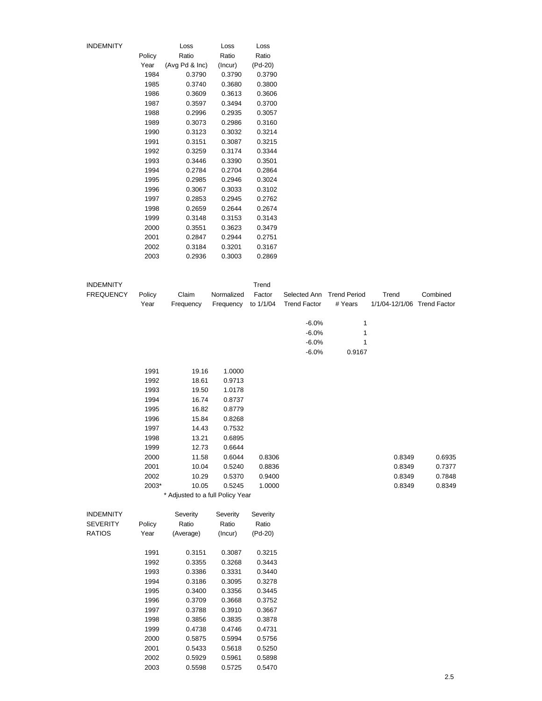| INDEMNITY |        | Loss           | Loss    | Loss    |
|-----------|--------|----------------|---------|---------|
|           | Policy | Ratio          | Ratio   | Ratio   |
|           | Year   | (Avg Pd & Inc) | (Incur) | (Pd-20) |
|           | 1984   | 0.3790         | 0.3790  | 0.3790  |
|           | 1985   | 0.3740         | 0.3680  | 0.3800  |
|           | 1986   | 0.3609         | 0.3613  | 0.3606  |
|           | 1987   | 0.3597         | 0.3494  | 0.3700  |
|           | 1988   | 0.2996         | 0.2935  | 0.3057  |
|           | 1989   | 0.3073         | 0.2986  | 0.3160  |
|           | 1990   | 0.3123         | 0.3032  | 0.3214  |
|           | 1991   | 0.3151         | 0.3087  | 0.3215  |
|           | 1992   | 0.3259         | 0.3174  | 0.3344  |
|           | 1993   | 0.3446         | 0.3390  | 0.3501  |
|           | 1994   | 0.2784         | 0.2704  | 0.2864  |
|           | 1995   | 0.2985         | 0.2946  | 0.3024  |
|           | 1996   | 0.3067         | 0.3033  | 0.3102  |
|           | 1997   | 0.2853         | 0.2945  | 0.2762  |
|           | 1998   | 0.2659         | 0.2644  | 0.2674  |
|           | 1999   | 0.3148         | 0.3153  | 0.3143  |
|           | 2000   | 0.3551         | 0.3623  | 0.3479  |
|           | 2001   | 0.2847         | 0.2944  | 0.2751  |
|           | 2002   | 0.3184         | 0.3201  | 0.3167  |
|           | 2003   | 0.2936         | 0.3003  | 0.2869  |
|           |        |                |         |         |

| <b>INDEMNITY</b> |        |                                  |            | Trend     |                           |              |                             |          |
|------------------|--------|----------------------------------|------------|-----------|---------------------------|--------------|-----------------------------|----------|
| <b>FREQUENCY</b> | Policy | Claim                            | Normalized | Factor    | Selected Ann Trend Period |              | Trend                       | Combined |
|                  | Year   | Frequency                        | Frequency  | to 1/1/04 | <b>Trend Factor</b>       | # Years      | 1/1/04-12/1/06 Trend Factor |          |
|                  |        |                                  |            |           |                           |              |                             |          |
|                  |        |                                  |            |           | $-6.0%$                   | $\mathbf{1}$ |                             |          |
|                  |        |                                  |            |           | $-6.0%$                   | 1            |                             |          |
|                  |        |                                  |            |           | $-6.0%$                   | 1            |                             |          |
|                  |        |                                  |            |           | $-6.0%$                   | 0.9167       |                             |          |
|                  | 1991   | 19.16                            | 1.0000     |           |                           |              |                             |          |
|                  | 1992   | 18.61                            | 0.9713     |           |                           |              |                             |          |
|                  | 1993   | 19.50                            | 1.0178     |           |                           |              |                             |          |
|                  | 1994   | 16.74                            | 0.8737     |           |                           |              |                             |          |
|                  | 1995   | 16.82                            | 0.8779     |           |                           |              |                             |          |
|                  | 1996   | 15.84                            | 0.8268     |           |                           |              |                             |          |
|                  | 1997   | 14.43                            | 0.7532     |           |                           |              |                             |          |
|                  | 1998   | 13.21                            | 0.6895     |           |                           |              |                             |          |
|                  | 1999   | 12.73                            | 0.6644     |           |                           |              |                             |          |
|                  | 2000   | 11.58                            | 0.6044     | 0.8306    |                           |              | 0.8349                      | 0.6935   |
|                  | 2001   | 10.04                            | 0.5240     | 0.8836    |                           |              | 0.8349                      | 0.7377   |
|                  | 2002   | 10.29                            | 0.5370     | 0.9400    |                           |              | 0.8349                      | 0.7848   |
|                  | 2003*  | 10.05                            | 0.5245     | 1.0000    |                           |              | 0.8349                      | 0.8349   |
|                  |        | * Adjusted to a full Policy Year |            |           |                           |              |                             |          |
|                  |        |                                  |            |           |                           |              |                             |          |
| <b>INDEMNITY</b> |        | Severity                         | Severity   | Severity  |                           |              |                             |          |
| <b>SEVERITY</b>  | Policy | Ratio                            | Ratio      | Ratio     |                           |              |                             |          |
| <b>RATIOS</b>    | Year   | (Average)                        | (Incur)    | $(Pd-20)$ |                           |              |                             |          |
|                  | 1991   | 0.3151                           | 0.3087     | 0.3215    |                           |              |                             |          |
|                  | 1992   | 0.3355                           | 0.3268     | 0.3443    |                           |              |                             |          |
|                  | 1993   | 0.3386                           | 0.3331     | 0.3440    |                           |              |                             |          |
|                  | 1994   | 0.3186                           | 0.3095     | 0.3278    |                           |              |                             |          |
|                  | 1995   | 0.3400                           | 0.3356     | 0.3445    |                           |              |                             |          |
|                  | 1996   | 0.3709                           | 0.3668     | 0.3752    |                           |              |                             |          |
|                  | 1997   | 0.3788                           | 0.3910     | 0.3667    |                           |              |                             |          |
|                  | 1998   | 0.3856                           | 0.3835     | 0.3878    |                           |              |                             |          |
|                  | 1999   | 0.4738                           | 0.4746     | 0.4731    |                           |              |                             |          |
|                  | 2000   | 0.5875                           | 0.5994     | 0.5756    |                           |              |                             |          |
|                  | 2001   | 0.5433                           | 0.5618     | 0.5250    |                           |              |                             |          |
|                  | 2002   | 0.5929                           | 0.5961     | 0.5898    |                           |              |                             |          |

2003 0.5598 0.5725 0.5470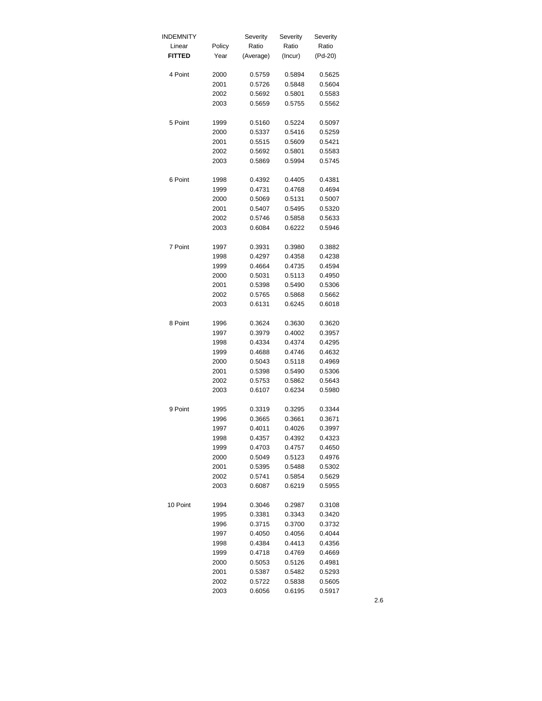| INDEMNITY     |        | Severity  | Severity | Severity |
|---------------|--------|-----------|----------|----------|
| Linear        | Policy | Ratio     | Ratio    | Ratio    |
| <b>FITTED</b> | Year   | (Average) | (Incur)  | (Pd-20)  |
| 4 Point       | 2000   | 0.5759    | 0.5894   | 0.5625   |
|               | 2001   | 0.5726    | 0.5848   | 0.5604   |
|               | 2002   | 0.5692    | 0.5801   | 0.5583   |
|               | 2003   | 0.5659    | 0.5755   | 0.5562   |
| 5 Point       | 1999   | 0.5160    | 0.5224   | 0.5097   |
|               | 2000   | 0.5337    | 0.5416   | 0.5259   |
|               | 2001   | 0.5515    | 0.5609   | 0.5421   |
|               | 2002   | 0.5692    | 0.5801   | 0.5583   |
|               | 2003   | 0.5869    | 0.5994   | 0.5745   |
| 6 Point       | 1998   | 0.4392    | 0.4405   | 0.4381   |
|               | 1999   | 0.4731    | 0.4768   | 0.4694   |
|               | 2000   | 0.5069    | 0.5131   | 0.5007   |
|               | 2001   | 0.5407    | 0.5495   | 0.5320   |
|               | 2002   | 0.5746    | 0.5858   | 0.5633   |
|               | 2003   | 0.6084    | 0.6222   | 0.5946   |
| 7 Point       | 1997   | 0.3931    | 0.3980   | 0.3882   |
|               | 1998   | 0.4297    | 0.4358   | 0.4238   |
|               | 1999   | 0.4664    | 0.4735   | 0.4594   |
|               | 2000   | 0.5031    | 0.5113   | 0.4950   |
|               | 2001   | 0.5398    | 0.5490   | 0.5306   |
|               | 2002   | 0.5765    | 0.5868   | 0.5662   |
|               | 2003   | 0.6131    | 0.6245   | 0.6018   |
| 8 Point       | 1996   | 0.3624    | 0.3630   | 0.3620   |
|               | 1997   | 0.3979    | 0.4002   | 0.3957   |
|               | 1998   | 0.4334    | 0.4374   | 0.4295   |
|               | 1999   | 0.4688    | 0.4746   | 0.4632   |
|               | 2000   | 0.5043    | 0.5118   | 0.4969   |
|               | 2001   | 0.5398    | 0.5490   | 0.5306   |
|               | 2002   | 0.5753    | 0.5862   | 0.5643   |
|               | 2003   | 0.6107    | 0.6234   | 0.5980   |
| 9 Point       | 1995   | 0.3319    | 0.3295   | 0.3344   |
|               | 1996   | 0.3665    | 0.3661   | 0.3671   |
|               | 1997   | 0.4011    | 0.4026   | 0.3997   |
|               | 1998   | 0.4357    | 0.4392   | 0.4323   |
|               | 1999   | 0.4703    | 0.4757   | 0.4650   |
|               | 2000   | 0.5049    | 0.5123   | 0.4976   |
|               | 2001   | 0.5395    | 0.5488   | 0.5302   |
|               | 2002   | 0.5741    | 0.5854   | 0.5629   |
|               | 2003   | 0.6087    | 0.6219   | 0.5955   |
| 10 Point      | 1994   | 0.3046    | 0.2987   | 0.3108   |
|               | 1995   | 0.3381    | 0.3343   | 0.3420   |
|               | 1996   | 0.3715    | 0.3700   | 0.3732   |
|               | 1997   | 0.4050    | 0.4056   | 0.4044   |
|               | 1998   | 0.4384    | 0.4413   | 0.4356   |
|               | 1999   | 0.4718    | 0.4769   | 0.4669   |
|               | 2000   | 0.5053    | 0.5126   | 0.4981   |
|               | 2001   | 0.5387    | 0.5482   | 0.5293   |
|               | 2002   | 0.5722    | 0.5838   | 0.5605   |
|               | 2003   | 0.6056    | 0.6195   | 0.5917   |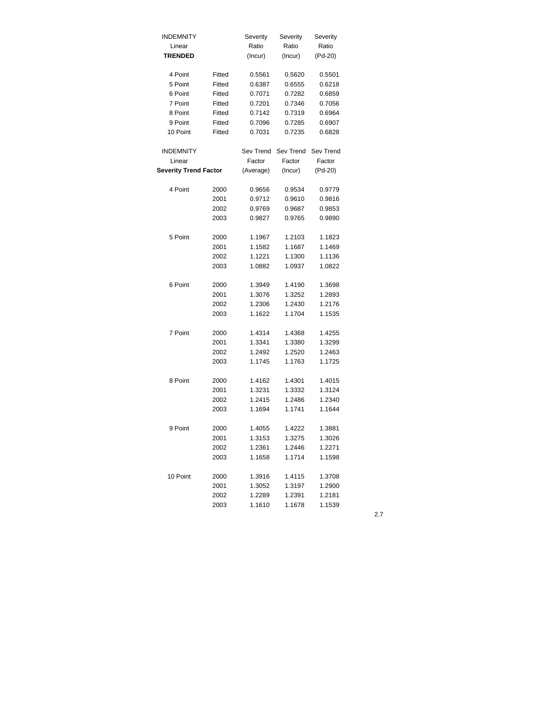| <b>INDEMNITY</b>             |        | Severity  | Severity  | Severity  |
|------------------------------|--------|-----------|-----------|-----------|
| Linear                       |        | Ratio     | Ratio     | Ratio     |
| <b>TRENDED</b>               |        | (Incur)   | (Incur)   | (Pd-20)   |
|                              |        |           |           |           |
| 4 Point                      | Fitted | 0.5561    | 0.5620    | 0.5501    |
| 5 Point                      | Fitted | 0.6387    | 0.6555    | 0.6218    |
| 6 Point                      | Fitted | 0.7071    | 0.7282    | 0.6859    |
| 7 Point                      | Fitted | 0.7201    | 0.7346    | 0.7056    |
| 8 Point                      | Fitted | 0.7142    | 0.7319    | 0.6964    |
| 9 Point                      | Fitted | 0.7096    | 0.7285    | 0.6907    |
| 10 Point                     | Fitted | 0.7031    | 0.7235    | 0.6828    |
| <b>INDEMNITY</b>             |        | Sev Trend | Sev Trend | Sev Trend |
| Linear                       |        | Factor    | Factor    | Factor    |
| <b>Severity Trend Factor</b> |        | (Average) | (Incur)   | (Pd-20)   |
|                              |        |           |           |           |
| 4 Point                      | 2000   | 0.9656    | 0.9534    | 0.9779    |
|                              | 2001   | 0.9712    | 0.9610    | 0.9816    |
|                              | 2002   | 0.9769    | 0.9687    | 0.9853    |
|                              | 2003   | 0.9827    | 0.9765    | 0.9890    |
|                              |        |           |           |           |
| 5 Point                      | 2000   | 1.1967    | 1.2103    | 1.1823    |
|                              | 2001   | 1.1582    | 1.1687    | 1.1469    |
|                              | 2002   | 1.1221    | 1.1300    | 1.1136    |
|                              | 2003   | 1.0882    | 1.0937    | 1.0822    |
|                              |        |           |           |           |
| 6 Point                      | 2000   | 1.3949    | 1.4190    | 1.3698    |
|                              | 2001   | 1.3076    | 1.3252    | 1.2893    |
|                              | 2002   | 1.2306    | 1.2430    | 1.2176    |
|                              | 2003   | 1.1622    | 1.1704    | 1.1535    |
|                              |        |           |           |           |
| 7 Point                      | 2000   | 1.4314    | 1.4368    | 1.4255    |
|                              | 2001   | 1.3341    | 1.3380    | 1.3299    |
|                              | 2002   | 1.2492    | 1.2520    | 1.2463    |
|                              | 2003   | 1.1745    | 1.1763    | 1.1725    |
|                              |        |           |           |           |
| 8 Point                      | 2000   | 1.4162    | 1.4301    | 1.4015    |
|                              | 2001   | 1.3231    | 1.3332    | 1.3124    |
|                              | 2002   | 1.2415    | 1.2486    | 1.2340    |
|                              | 2003   | 1.1694    | 1.1741    | 1.1644    |
| 9 Point                      | 2000   | 1.4055    | 1.4222    | 1.3881    |
|                              | 2001   | 1.3153    | 1.3275    | 1.3026    |
|                              | 2002   | 1.2361    | 1.2446    | 1.2271    |
|                              | 2003   | 1.1658    | 1.1714    | 1.1598    |
|                              |        |           |           |           |
| 10 Point                     | 2000   | 1.3916    | 1.4115    | 1.3708    |
|                              | 2001   | 1.3052    | 1.3197    | 1.2900    |
|                              | 2002   | 1.2289    | 1.2391    | 1.2181    |
|                              | 2003   | 1.1610    | 1.1678    | 1.1539    |
|                              |        |           |           |           |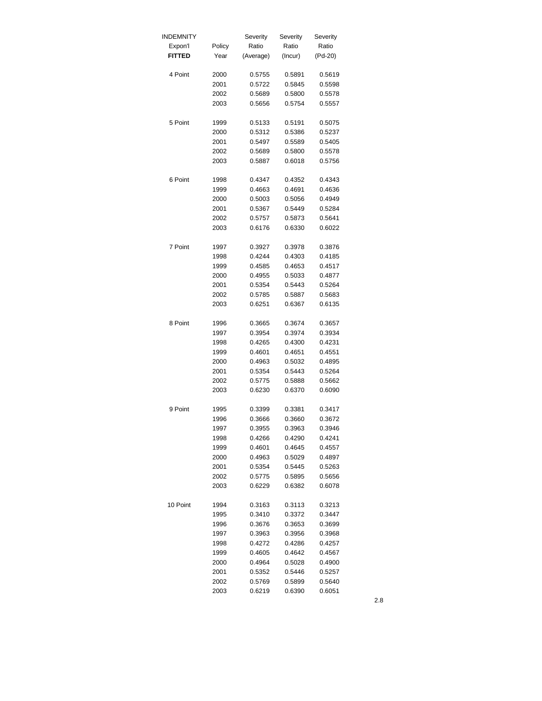| INDEMNITY     |        | Severity  | Severity | Severity |
|---------------|--------|-----------|----------|----------|
| Expon'l       | Policy | Ratio     | Ratio    | Ratio    |
| <b>FITTED</b> | Year   | (Average) | (Incur)  | (Pd-20)  |
| 4 Point       | 2000   | 0.5755    | 0.5891   | 0.5619   |
|               | 2001   | 0.5722    | 0.5845   | 0.5598   |
|               | 2002   | 0.5689    | 0.5800   | 0.5578   |
|               | 2003   | 0.5656    | 0.5754   | 0.5557   |
| 5 Point       | 1999   | 0.5133    | 0.5191   | 0.5075   |
|               | 2000   | 0.5312    | 0.5386   | 0.5237   |
|               | 2001   | 0.5497    | 0.5589   | 0.5405   |
|               | 2002   | 0.5689    | 0.5800   | 0.5578   |
|               | 2003   | 0.5887    | 0.6018   | 0.5756   |
| 6 Point       | 1998   | 0.4347    | 0.4352   | 0.4343   |
|               | 1999   | 0.4663    | 0.4691   | 0.4636   |
|               | 2000   | 0.5003    | 0.5056   | 0.4949   |
|               | 2001   | 0.5367    | 0.5449   | 0.5284   |
|               | 2002   | 0.5757    | 0.5873   | 0.5641   |
|               | 2003   | 0.6176    | 0.6330   | 0.6022   |
| 7 Point       | 1997   | 0.3927    | 0.3978   | 0.3876   |
|               | 1998   | 0.4244    | 0.4303   | 0.4185   |
|               | 1999   | 0.4585    | 0.4653   | 0.4517   |
|               | 2000   | 0.4955    | 0.5033   | 0.4877   |
|               | 2001   | 0.5354    | 0.5443   | 0.5264   |
|               | 2002   | 0.5785    | 0.5887   | 0.5683   |
|               | 2003   | 0.6251    | 0.6367   | 0.6135   |
| 8 Point       | 1996   | 0.3665    | 0.3674   | 0.3657   |
|               | 1997   | 0.3954    | 0.3974   | 0.3934   |
|               | 1998   | 0.4265    | 0.4300   | 0.4231   |
|               | 1999   | 0.4601    | 0.4651   | 0.4551   |
|               | 2000   | 0.4963    | 0.5032   | 0.4895   |
|               | 2001   | 0.5354    | 0.5443   | 0.5264   |
|               | 2002   | 0.5775    | 0.5888   | 0.5662   |
|               | 2003   | 0.6230    | 0.6370   | 0.6090   |
| 9 Point       | 1995   | 0.3399    | 0.3381   | 0.3417   |
|               | 1996   | 0.3666    | 0.3660   | 0.3672   |
|               | 1997   | 0.3955    | 0.3963   | 0.3946   |
|               | 1998   | 0.4266    | 0.4290   | 0.4241   |
|               | 1999   | 0.4601    | 0.4645   | 0.4557   |
|               | 2000   | 0.4963    | 0.5029   | 0.4897   |
|               | 2001   | 0.5354    | 0.5445   | 0.5263   |
|               | 2002   | 0.5775    | 0.5895   | 0.5656   |
|               | 2003   | 0.6229    | 0.6382   | 0.6078   |
| 10 Point      | 1994   | 0.3163    | 0.3113   | 0.3213   |
|               | 1995   | 0.3410    | 0.3372   | 0.3447   |
|               | 1996   | 0.3676    | 0.3653   | 0.3699   |
|               | 1997   | 0.3963    | 0.3956   | 0.3968   |
|               | 1998   | 0.4272    | 0.4286   | 0.4257   |
|               | 1999   | 0.4605    | 0.4642   | 0.4567   |
|               | 2000   | 0.4964    | 0.5028   | 0.4900   |
|               | 2001   | 0.5352    | 0.5446   | 0.5257   |
|               | 2002   | 0.5769    | 0.5899   | 0.5640   |
|               | 2003   | 0.6219    | 0.6390   | 0.6051   |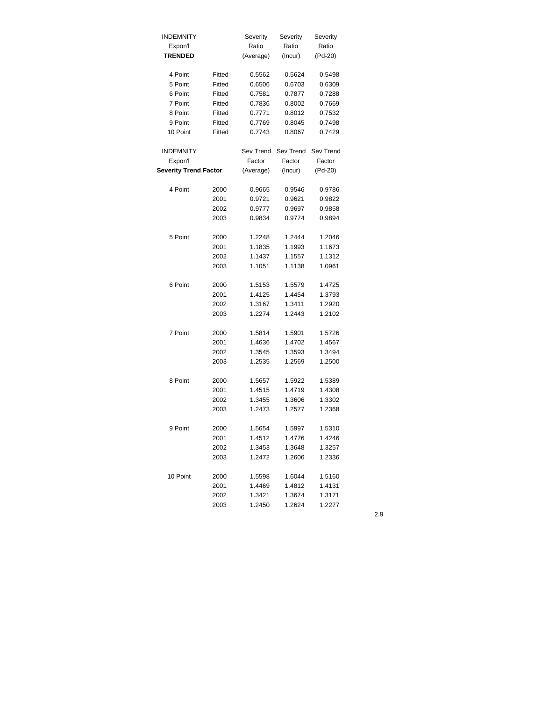| <b>INDEMNITY</b>             |        | Severity  | Severity  | Severity  |
|------------------------------|--------|-----------|-----------|-----------|
| Expon'l                      |        | Ratio     | Ratio     | Ratio     |
| <b>TRENDED</b>               |        | (Average) | (Incur)   | (Pd-20)   |
|                              |        |           |           |           |
| 4 Point                      | Fitted | 0.5562    | 0.5624    | 0.5498    |
| 5 Point                      | Fitted | 0.6506    | 0.6703    | 0.6309    |
| 6 Point                      | Fitted | 0.7581    | 0.7877    | 0.7288    |
| 7 Point                      | Fitted | 0.7836    | 0.8002    | 0.7669    |
| 8 Point                      | Fitted | 0.7771    | 0.8012    | 0.7532    |
| 9 Point                      | Fitted | 0.7769    | 0.8045    | 0.7498    |
| 10 Point                     | Fitted | 0.7743    | 0.8067    | 0.7429    |
|                              |        |           |           |           |
| <b>INDEMNITY</b>             |        | Sev Trend | Sev Trend | Sev Trend |
| Expon'l                      |        | Factor    | Factor    | Factor    |
| <b>Severity Trend Factor</b> |        | (Average) | (Incur)   | (Pd-20)   |
| 4 Point                      | 2000   | 0.9665    | 0.9546    | 0.9786    |
|                              | 2001   | 0.9721    | 0.9621    | 0.9822    |
|                              | 2002   | 0.9777    | 0.9697    | 0.9858    |
|                              | 2003   | 0.9834    | 0.9774    | 0.9894    |
|                              |        |           |           |           |
| 5 Point                      | 2000   | 1.2248    | 1.2444    | 1.2046    |
|                              | 2001   | 1.1835    | 1.1993    | 1.1673    |
|                              | 2002   | 1.1437    | 1.1557    | 1.1312    |
|                              | 2003   | 1.1051    | 1.1138    | 1.0961    |
|                              |        |           |           |           |
| 6 Point                      | 2000   | 1.5153    | 1.5579    | 1.4725    |
|                              | 2001   | 1.4125    | 1.4454    | 1.3793    |
|                              | 2002   | 1.3167    | 1.3411    | 1.2920    |
|                              | 2003   | 1.2274    | 1.2443    | 1.2102    |
|                              |        |           |           |           |
| 7 Point                      | 2000   | 1.5814    | 1.5901    | 1.5726    |
|                              | 2001   | 1.4636    | 1.4702    | 1.4567    |
|                              | 2002   | 1.3545    | 1.3593    | 1.3494    |
|                              | 2003   | 1.2535    | 1.2569    | 1.2500    |
| 8 Point                      | 2000   | 1.5657    | 1.5922    | 1.5389    |
|                              | 2001   | 1.4515    | 1.4719    | 1.4308    |
|                              | 2002   | 1.3455    | 1.3606    | 1.3302    |
|                              | 2003   | 1.2473    | 1.2577    | 1.2368    |
|                              |        |           |           |           |
| 9 Point                      | 2000   | 1.5654    | 1.5997    | 1.5310    |
|                              | 2001   | 1.4512    | 1.4776    | 1.4246    |
|                              | 2002   | 1.3453    | 1.3648    | 1.3257    |
|                              | 2003   | 1.2472    | 1.2606    | 1.2336    |
|                              |        |           |           |           |
| 10 Point                     | 2000   | 1.5598    | 1.6044    | 1.5160    |
|                              | 2001   | 1.4469    | 1.4812    | 1.4131    |
|                              | 2002   | 1.3421    | 1.3674    | 1.3171    |
|                              | 2003   | 1.2450    | 1.2624    | 1.2277    |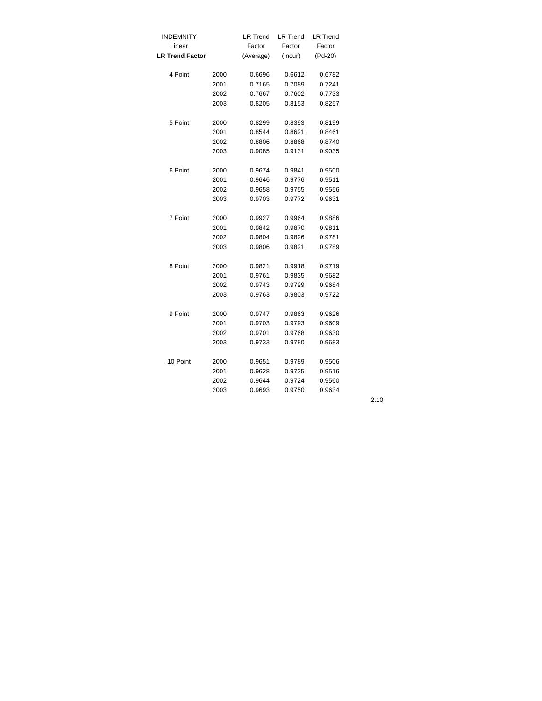| <b>INDEMNITY</b>       |      | <b>LR Trend</b> | <b>LR Trend</b> | <b>LR Trend</b> |
|------------------------|------|-----------------|-----------------|-----------------|
| Linear                 |      | Factor          | Factor          | Factor          |
| <b>LR Trend Factor</b> |      | (Average)       | (Incur)         | (Pd-20)         |
| 4 Point                | 2000 | 0.6696          | 0.6612          | 0.6782          |
|                        | 2001 | 0.7165          | 0.7089          | 0.7241          |
|                        | 2002 | 0.7667          | 0.7602          | 0.7733          |
|                        | 2003 | 0.8205          | 0.8153          | 0.8257          |
| 5 Point                | 2000 | 0.8299          | 0.8393          | 0.8199          |
|                        | 2001 | 0.8544          | 0.8621          | 0.8461          |
|                        | 2002 | 0.8806          | 0.8868          | 0.8740          |
|                        | 2003 | 0.9085          | 0.9131          | 0.9035          |
| 6 Point                | 2000 | 0.9674          | 0.9841          | 0.9500          |
|                        | 2001 | 0.9646          | 0.9776          | 0.9511          |
|                        | 2002 | 0.9658          | 0.9755          | 0.9556          |
|                        | 2003 | 0.9703          | 0.9772          | 0.9631          |
| 7 Point                | 2000 | 0.9927          | 0.9964          | 0.9886          |
|                        | 2001 | 0.9842          | 0.9870          | 0.9811          |
|                        | 2002 | 0.9804          | 0.9826          | 0.9781          |
|                        | 2003 | 0.9806          | 0.9821          | 0.9789          |
| 8 Point                | 2000 | 0.9821          | 0.9918          | 0.9719          |
|                        | 2001 | 0.9761          | 0.9835          | 0.9682          |
|                        | 2002 | 0.9743          | 0.9799          | 0.9684          |
|                        | 2003 | 0.9763          | 0.9803          | 0.9722          |
| 9 Point                | 2000 | 0.9747          | 0.9863          | 0.9626          |
|                        | 2001 | 0.9703          | 0.9793          | 0.9609          |
|                        | 2002 | 0.9701          | 0.9768          | 0.9630          |
|                        | 2003 | 0.9733          | 0.9780          | 0.9683          |
| 10 Point               | 2000 | 0.9651          | 0.9789          | 0.9506          |
|                        | 2001 | 0.9628          | 0.9735          | 0.9516          |
|                        | 2002 | 0.9644          | 0.9724          | 0.9560          |
|                        | 2003 | 0.9693          | 0.9750          | 0.9634          |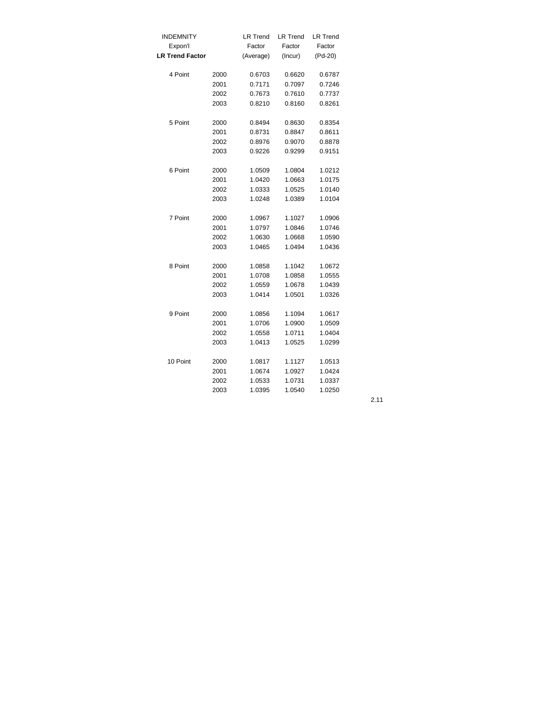| <b>INDEMNITY</b>       |      | <b>LR Trend</b> | <b>LR Trend</b> | <b>LR Trend</b> |
|------------------------|------|-----------------|-----------------|-----------------|
| Expon'l                |      | Factor          | Factor          | Factor          |
| <b>LR Trend Factor</b> |      | (Average)       | (Incur)         | (Pd-20)         |
| 4 Point                | 2000 | 0.6703          | 0.6620          | 0.6787          |
|                        | 2001 | 0.7171          | 0.7097          | 0.7246          |
|                        | 2002 | 0.7673          | 0.7610          | 0.7737          |
|                        | 2003 | 0.8210          | 0.8160          | 0.8261          |
| 5 Point                | 2000 | 0.8494          | 0.8630          | 0.8354          |
|                        | 2001 | 0.8731          | 0.8847          | 0.8611          |
|                        | 2002 | 0.8976          | 0.9070          | 0.8878          |
|                        | 2003 | 0.9226          | 0.9299          | 0.9151          |
| 6 Point                | 2000 | 1.0509          | 1.0804          | 1.0212          |
|                        | 2001 | 1.0420          | 1.0663          | 1.0175          |
|                        | 2002 | 1.0333          | 1.0525          | 1.0140          |
|                        | 2003 | 1.0248          | 1.0389          | 1.0104          |
| 7 Point                | 2000 | 1.0967          | 1.1027          | 1.0906          |
|                        | 2001 | 1.0797          | 1.0846          | 1.0746          |
|                        | 2002 | 1.0630          | 1.0668          | 1.0590          |
|                        | 2003 | 1.0465          | 1.0494          | 1.0436          |
| 8 Point                | 2000 | 1.0858          | 1.1042          | 1.0672          |
|                        | 2001 | 1.0708          | 1.0858          | 1.0555          |
|                        | 2002 | 1.0559          | 1.0678          | 1.0439          |
|                        | 2003 | 1.0414          | 1.0501          | 1.0326          |
| 9 Point                | 2000 | 1.0856          | 1.1094          | 1.0617          |
|                        | 2001 | 1.0706          | 1.0900          | 1.0509          |
|                        | 2002 | 1.0558          | 1.0711          | 1.0404          |
|                        | 2003 | 1.0413          | 1.0525          | 1.0299          |
| 10 Point               | 2000 | 1.0817          | 1.1127          | 1.0513          |
|                        | 2001 | 1.0674          | 1.0927          | 1.0424          |
|                        | 2002 | 1.0533          | 1.0731          | 1.0337          |
|                        | 2003 | 1.0395          | 1.0540          | 1.0250          |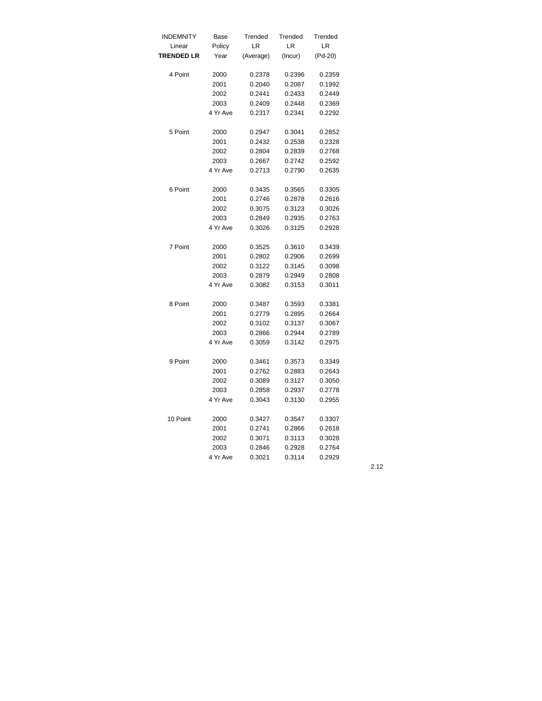| <b>INDEMNITY</b>  | Base     | Trended          | Trended          | Trended          |
|-------------------|----------|------------------|------------------|------------------|
| Linear            | Policy   | LR               | LR               | LR               |
| <b>TRENDED LR</b> | Year     | (Average)        | (Incur)          | (Pd-20)          |
| 4 Point           | 2000     | 0.2378           | 0.2396           | 0.2359           |
|                   | 2001     | 0.2040           | 0.2087           | 0.1992           |
|                   | 2002     | 0.2441           | 0.2433           | 0.2449           |
|                   | 2003     | 0.2409           | 0.2448           | 0.2369           |
|                   | 4 Yr Ave | 0.2317           | 0.2341           | 0.2292           |
|                   |          |                  |                  |                  |
| 5 Point           | 2000     | 0.2947           | 0.3041           | 0.2852           |
|                   | 2001     | 0.2432           | 0.2538           | 0.2328           |
|                   | 2002     | 0.2804           | 0.2839           | 0.2768           |
|                   | 2003     | 0.2667           | 0.2742           | 0.2592           |
|                   | 4 Yr Ave | 0.2713           | 0.2790           | 0.2635           |
| 6 Point           | 2000     | 0.3435           | 0.3565           | 0.3305           |
|                   | 2001     | 0.2746           | 0.2878           | 0.2616           |
|                   | 2002     | 0.3075           | 0.3123           | 0.3026           |
|                   | 2003     | 0.2849           | 0.2935           | 0.2763           |
|                   | 4 Yr Ave | 0.3026           | 0.3125           | 0.2928           |
|                   |          |                  |                  |                  |
| 7 Point           | 2000     | 0.3525           | 0.3610           | 0.3439           |
|                   | 2001     | 0.2802           | 0.2906           | 0.2699           |
|                   | 2002     | 0.3122           | 0.3145           | 0.3098           |
|                   | 2003     | 0.2879           | 0.2949           | 0.2808           |
|                   | 4 Yr Ave | 0.3082           | 0.3153           | 0.3011           |
| 8 Point           | 2000     | 0.3487           | 0.3593           | 0.3381           |
|                   | 2001     | 0.2779           | 0.2895           | 0.2664           |
|                   | 2002     | 0.3102           | 0.3137           | 0.3067           |
|                   | 2003     |                  |                  |                  |
|                   | 4 Yr Ave | 0.2866<br>0.3059 | 0.2944<br>0.3142 | 0.2789<br>0.2975 |
|                   |          |                  |                  |                  |
| 9 Point           | 2000     | 0.3461           | 0.3573           | 0.3349           |
|                   | 2001     | 0.2762           | 0.2883           | 0.2643           |
|                   | 2002     | 0.3089           | 0.3127           | 0.3050           |
|                   | 2003     | 0.2858           | 0.2937           | 0.2778           |
|                   | 4 Yr Ave | 0.3043           | 0.3130           | 0.2955           |
| 10 Point          | 2000     | 0.3427           | 0.3547           | 0.3307           |
|                   | 2001     | 0.2741           | 0.2866           | 0.2618           |
|                   | 2002     | 0.3071           | 0.3113           | 0.3028           |
|                   | 2003     | 0.2846           | 0.2928           | 0.2764           |
|                   | 4 Yr Ave | 0.3021           | 0.3114           | 0.2929           |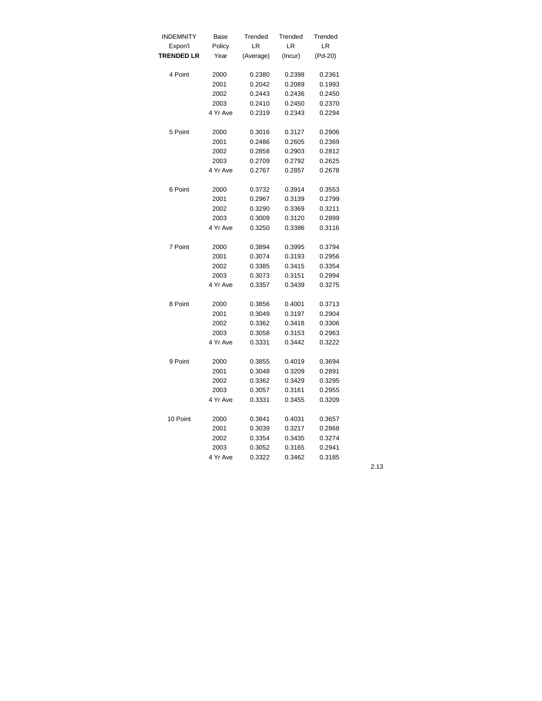| <b>INDEMNITY</b>  | Base     | Trended   | Trended | Trended |
|-------------------|----------|-----------|---------|---------|
| Expon'l           | Policy   | LR        | LR      | LR      |
| <b>TRENDED LR</b> | Year     | (Average) | (Incur) | (Pd-20) |
| 4 Point           | 2000     | 0.2380    | 0.2398  | 0.2361  |
|                   |          |           |         |         |
|                   | 2001     | 0.2042    | 0.2089  | 0.1993  |
|                   | 2002     | 0.2443    | 0.2436  | 0.2450  |
|                   | 2003     | 0.2410    | 0.2450  | 0.2370  |
|                   | 4 Yr Ave | 0.2319    | 0.2343  | 0.2294  |
| 5 Point           | 2000     | 0.3016    | 0.3127  | 0.2906  |
|                   | 2001     | 0.2486    | 0.2605  | 0.2369  |
|                   | 2002     | 0.2858    | 0.2903  | 0.2812  |
|                   | 2003     | 0.2709    | 0.2792  | 0.2625  |
|                   | 4 Yr Ave | 0.2767    | 0.2857  | 0.2678  |
| 6 Point           | 2000     | 0.3732    | 0.3914  | 0.3553  |
|                   | 2001     | 0.2967    | 0.3139  | 0.2799  |
|                   | 2002     | 0.3290    | 0.3369  | 0.3211  |
|                   | 2003     | 0.3009    | 0.3120  | 0.2899  |
|                   | 4 Yr Ave | 0.3250    | 0.3386  | 0.3116  |
|                   |          |           |         |         |
| 7 Point           | 2000     | 0.3894    | 0.3995  | 0.3794  |
|                   | 2001     | 0.3074    | 0.3193  | 0.2956  |
|                   | 2002     | 0.3385    | 0.3415  | 0.3354  |
|                   | 2003     | 0.3073    | 0.3151  | 0.2994  |
|                   | 4 Yr Ave | 0.3357    | 0.3439  | 0.3275  |
| 8 Point           | 2000     | 0.3856    | 0.4001  | 0.3713  |
|                   | 2001     | 0.3049    | 0.3197  | 0.2904  |
|                   | 2002     | 0.3362    | 0.3418  | 0.3306  |
|                   | 2003     | 0.3058    | 0.3153  | 0.2963  |
|                   | 4 Yr Ave | 0.3331    | 0.3442  | 0.3222  |
|                   |          |           |         |         |
| 9 Point           | 2000     | 0.3855    | 0.4019  | 0.3694  |
|                   | 2001     | 0.3048    | 0.3209  | 0.2891  |
|                   | 2002     | 0.3362    | 0.3429  | 0.3295  |
|                   | 2003     | 0.3057    | 0.3161  | 0.2955  |
|                   | 4 Yr Ave | 0.3331    | 0.3455  | 0.3209  |
| 10 Point          | 2000     | 0.3841    | 0.4031  | 0.3657  |
|                   | 2001     | 0.3039    | 0.3217  | 0.2868  |
|                   | 2002     | 0.3354    | 0.3435  | 0.3274  |
|                   | 2003     | 0.3052    | 0.3165  | 0.2941  |
|                   | 4 Yr Ave | 0.3322    | 0.3462  | 0.3185  |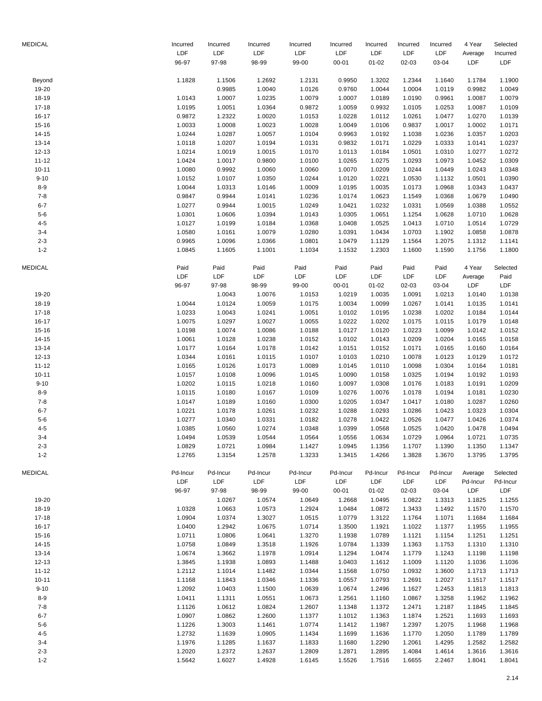| <b>MEDICAL</b>     | Incurred         | Incurred         | Incurred         | Incurred         | Incurred         | Incurred         | Incurred         | Incurred         | 4 Year           | Selected         |
|--------------------|------------------|------------------|------------------|------------------|------------------|------------------|------------------|------------------|------------------|------------------|
|                    | LDF<br>96-97     | LDF<br>97-98     | LDF<br>98-99     | LDF<br>99-00     | LDF<br>$00 - 01$ | LDF<br>$01 - 02$ | LDF<br>02-03     | LDF<br>03-04     | Average<br>LDF   | Incurred<br>LDF  |
| Beyond             | 1.1828           | 1.1506           | 1.2692           | 1.2131           | 0.9950           | 1.3202           | 1.2344           | 1.1640           | 1.1784           | 1.1900           |
| 19-20              |                  | 0.9985           | 1.0040           | 1.0126           | 0.9760           | 1.0044           | 1.0004           | 1.0119           | 0.9982           | 1.0049           |
| 18-19              | 1.0143           | 1.0007           | 1.0235           | 1.0079           | 1.0007           | 1.0189           | 1.0190           | 0.9961           | 1.0087           | 1.0079           |
| $17 - 18$          | 1.0195           | 1.0051           | 1.0364           | 0.9872           | 1.0059           | 0.9932           | 1.0105           | 1.0253           | 1.0087           | 1.0109           |
| $16 - 17$          | 0.9872           | 1.2322           | 1.0020           | 1.0153           | 1.0228           | 1.0112           | 1.0261           | 1.0477           | 1.0270           | 1.0139           |
| $15 - 16$          | 1.0033           | 1.0008           | 1.0023           | 1.0028           | 1.0049           | 1.0106           | 0.9837           | 1.0017           | 1.0002           | 1.0171           |
| $14 - 15$          | 1.0244           | 1.0287           | 1.0057           | 1.0104           | 0.9963           | 1.0192           | 1.1038           | 1.0236           | 1.0357           | 1.0203           |
| $13 - 14$          | 1.0118           | 1.0207           | 1.0194           | 1.0131           | 0.9832           | 1.0171           | 1.0229           | 1.0333           | 1.0141           | 1.0237           |
| $12 - 13$          | 1.0214           | 1.0019           | 1.0015           | 1.0170           | 1.0113           | 1.0184           | 1.0501           | 1.0310           | 1.0277           | 1.0272           |
| $11 - 12$          | 1.0424           | 1.0017           | 0.9800           | 1.0100           | 1.0265           | 1.0275           | 1.0293           | 1.0973           | 1.0452           | 1.0309           |
| $10 - 11$          | 1.0080           | 0.9992           | 1.0060           | 1.0060           | 1.0070           | 1.0209           | 1.0244           | 1.0449           | 1.0243           | 1.0348           |
| $9 - 10$           | 1.0152           | 1.0107           | 1.0350           | 1.0244           | 1.0120           | 1.0221           | 1.0530           | 1.1132           | 1.0501           | 1.0390           |
| $8-9$              | 1.0044           | 1.0313           | 1.0146           | 1.0009           | 1.0195           | 1.0035           | 1.0173           | 1.0968           | 1.0343           | 1.0437           |
| $7 - 8$            | 0.9847           | 0.9944           | 1.0141           | 1.0236           | 1.0174           | 1.0623           | 1.1549           | 1.0368           | 1.0679           | 1.0490           |
| $6 - 7$<br>$5-6$   | 1.0277           | 0.9944           | 1.0015           | 1.0249           | 1.0421           | 1.0232           | 1.0331           | 1.0569           | 1.0388           | 1.0552           |
| $4 - 5$            | 1.0301<br>1.0127 | 1.0606<br>1.0199 | 1.0394<br>1.0184 | 1.0143<br>1.0368 | 1.0305<br>1.0408 | 1.0651<br>1.0525 | 1.1254<br>1.0413 | 1.0628<br>1.0710 | 1.0710<br>1.0514 | 1.0628<br>1.0729 |
| $3 - 4$            | 1.0580           | 1.0161           | 1.0079           | 1.0280           | 1.0391           | 1.0434           | 1.0703           | 1.1902           | 1.0858           | 1.0878           |
| $2 - 3$            | 0.9965           | 1.0096           | 1.0366           | 1.0801           | 1.0479           | 1.1129           | 1.1564           | 1.2075           | 1.1312           | 1.1141           |
| $1 - 2$            | 1.0845           | 1.1605           | 1.1001           | 1.1034           | 1.1532           | 1.2303           | 1.1600           | 1.1590           | 1.1756           | 1.1800           |
| MEDICAL            | Paid             | Paid             | Paid             | Paid             | Paid             | Paid             | Paid             | Paid             | 4 Year           | Selected         |
|                    | LDF              | LDF              | LDF              | LDF              | LDF              | LDF              | LDF              | LDF              | Average          | Paid             |
|                    | 96-97            | 97-98            | 98-99            | 99-00            | $00 - 01$        | $01 - 02$        | 02-03            | 03-04            | LDF              | LDF              |
| 19-20              |                  | 1.0043           | 1.0076           | 1.0153           | 1.0219           | 1.0035           | 1.0091           | 1.0213           | 1.0140           | 1.0138           |
| 18-19              | 1.0044           | 1.0124           | 1.0059           | 1.0175           | 1.0034           | 1.0099           | 1.0267           | 1.0141           | 1.0135           | 1.0141           |
| $17 - 18$          | 1.0233           | 1.0043           | 1.0241           | 1.0051           | 1.0102           | 1.0195           | 1.0238           | 1.0202           | 1.0184           | 1.0144           |
| $16 - 17$          | 1.0075           | 1.0297           | 1.0027           | 1.0055           | 1.0222           | 1.0202           | 1.0175           | 1.0115           | 1.0179           | 1.0148           |
| $15 - 16$          | 1.0198           | 1.0074           | 1.0086           | 1.0188           | 1.0127           | 1.0120           | 1.0223           | 1.0099           | 1.0142           | 1.0152           |
| $14 - 15$          | 1.0061           | 1.0128           | 1.0238           | 1.0152           | 1.0102           | 1.0143           | 1.0209           | 1.0204           | 1.0165           | 1.0158           |
| $13 - 14$          | 1.0177           | 1.0164           | 1.0178           | 1.0142           | 1.0151           | 1.0152           | 1.0171           | 1.0165           | 1.0160           | 1.0164           |
| $12 - 13$          | 1.0344           | 1.0161           | 1.0115           | 1.0107           | 1.0103           | 1.0210           | 1.0078           | 1.0123           | 1.0129           | 1.0172           |
| $11 - 12$          | 1.0165           | 1.0126           | 1.0173           | 1.0089           | 1.0145           | 1.0110           | 1.0098           | 1.0304           | 1.0164           | 1.0181           |
| $10 - 11$          | 1.0157           | 1.0108           | 1.0096           | 1.0145           | 1.0090           | 1.0158           | 1.0325           | 1.0194           | 1.0192           | 1.0193           |
| $9 - 10$           | 1.0202           | 1.0115           | 1.0218           | 1.0160           | 1.0097           | 1.0308           | 1.0176           | 1.0183           | 1.0191           | 1.0209           |
| $8-9$              | 1.0115           | 1.0180           | 1.0167           | 1.0109           | 1.0276           | 1.0076           | 1.0178           | 1.0194           | 1.0181           | 1.0230           |
| $7 - 8$<br>$6 - 7$ | 1.0147           | 1.0189           | 1.0160           | 1.0300           | 1.0205           | 1.0347           | 1.0417           | 1.0180           | 1.0287           | 1.0260           |
| $5 - 6$            | 1.0221<br>1.0277 | 1.0178<br>1.0340 | 1.0261<br>1.0331 | 1.0232<br>1.0182 | 1.0288<br>1.0278 | 1.0293<br>1.0422 | 1.0286<br>1.0526 | 1.0423<br>1.0477 | 1.0323<br>1.0426 | 1.0304<br>1.0374 |
| $4 - 5$            | 1.0385           | 1.0560           | 1.0274           | 1.0348           | 1.0399           | 1.0568           | 1.0525           | 1.0420           | 1.0478           | 1.0494           |
| $3 - 4$            | 1.0494           | 1.0539           | 1.0544           | 1.0564           | 1.0556           | 1.0634           | 1.0729           | 1.0964           | 1.0721           | 1.0735           |
| $2 - 3$            | 1.0829           | 1.0721           | 1.0984           | 1.1427           | 1.0945           | 1.1356           | 1.1707           | 1.1390           | 1.1350           | 1.1347           |
| $1 - 2$            | 1.2765           | 1.3154           | 1.2578           | 1.3233           | 1.3415           | 1.4266           | 1.3828           | 1.3670           | 1.3795           | 1.3795           |
| MEDICAL            | Pd-Incur         | Pd-Incur         | Pd-Incur         | Pd-Incur         | Pd-Incur         | Pd-Incur         | Pd-Incur         | Pd-Incur         | Average          | Selected         |
|                    | LDF              | LDF              | LDF              | LDF              | LDF              | LDF              | <b>LDF</b>       | LDF              | Pd-Incur         | Pd-Incur         |
|                    | 96-97            | 97-98            | 98-99            | 99-00            | $00 - 01$        | $01 - 02$        | 02-03            | 03-04            | LDF              | <b>LDF</b>       |
| 19-20              |                  | 1.0267           | 1.0574           | 1.0649           | 1.2668           | 1.0495           | 1.0822           | 1.3313           | 1.1825           | 1.1255           |
| 18-19              | 1.0328           | 1.0663           | 1.0573           | 1.2924           | 1.0484           | 1.0872           | 1.3433           | 1.1492           | 1.1570           | 1.1570           |
| $17 - 18$          | 1.0904           | 1.0374           | 1.3027           | 1.0515           | 1.0779           | 1.3122           | 1.1764           | 1.1071           | 1.1684           | 1.1684           |
| $16 - 17$          | 1.0400           | 1.2942           | 1.0675           | 1.0714           | 1.3500           | 1.1921           | 1.1022           | 1.1377           | 1.1955           | 1.1955           |
| $15 - 16$          | 1.0711           | 1.0806           | 1.0641           | 1.3270           | 1.1938           | 1.0789           | 1.1121           | 1.1154           | 1.1251           | 1.1251           |
| $14 - 15$          | 1.0758           | 1.0849           | 1.3518           | 1.1926           | 1.0784           | 1.1339           | 1.1363           | 1.1753           | 1.1310           | 1.1310           |
| $13 - 14$          | 1.0674           | 1.3662           | 1.1978           | 1.0914           | 1.1294           | 1.0474           | 1.1779           | 1.1243           | 1.1198           | 1.1198           |
| $12 - 13$          | 1.3845           | 1.1938           | 1.0893           | 1.1488           | 1.0403           | 1.1612           | 1.1009           | 1.1120           | 1.1036           | 1.1036           |
| $11 - 12$          | 1.2112           | 1.1014           | 1.1482           | 1.0344           | 1.1568           | 1.0750           | 1.0932           | 1.3600           | 1.1713           | 1.1713           |
| $10 - 11$          | 1.1168           | 1.1843           | 1.0346           | 1.1336           | 1.0557           | 1.0793           | 1.2691           | 1.2027           | 1.1517           | 1.1517           |
| $9 - 10$           | 1.2092           | 1.0403           | 1.1500           | 1.0639           | 1.0674           | 1.2496           | 1.1627           | 1.2453           | 1.1813           | 1.1813           |
| $8-9$<br>$7 - 8$   | 1.0411           | 1.1311           | 1.0551           | 1.0673           | 1.2561           | 1.1160           | 1.0867           | 1.3258           | 1.1962           | 1.1962<br>1.1845 |
| $6 - 7$            | 1.1126<br>1.0907 | 1.0612<br>1.0862 | 1.0824<br>1.2600 | 1.2607<br>1.1377 | 1.1348<br>1.1012 | 1.1372<br>1.1363 | 1.2471<br>1.1874 | 1.2187<br>1.2521 | 1.1845<br>1.1693 | 1.1693           |
| $5-6$              | 1.1226           | 1.3003           | 1.1461           | 1.0774           | 1.1412           | 1.1987           | 1.2397           | 1.2075           | 1.1968           | 1.1968           |
| $4 - 5$            | 1.2732           | 1.1639           | 1.0905           | 1.1434           | 1.1699           | 1.1636           | 1.1770           | 1.2050           | 1.1789           | 1.1789           |
| $3 - 4$            | 1.1976           | 1.1285           | 1.1637           | 1.1833           | 1.1680           | 1.2290           | 1.2061           | 1.4295           | 1.2582           | 1.2582           |
| $2 - 3$            | 1.2020           | 1.2372           | 1.2637           | 1.2809           | 1.2871           | 1.2895           | 1.4084           | 1.4614           | 1.3616           | 1.3616           |
| $1 - 2$            | 1.5642           | 1.6027           | 1.4928           | 1.6145           | 1.5526           | 1.7516           | 1.6655           | 2.2467           | 1.8041           | 1.8041           |
|                    |                  |                  |                  |                  |                  |                  |                  |                  |                  |                  |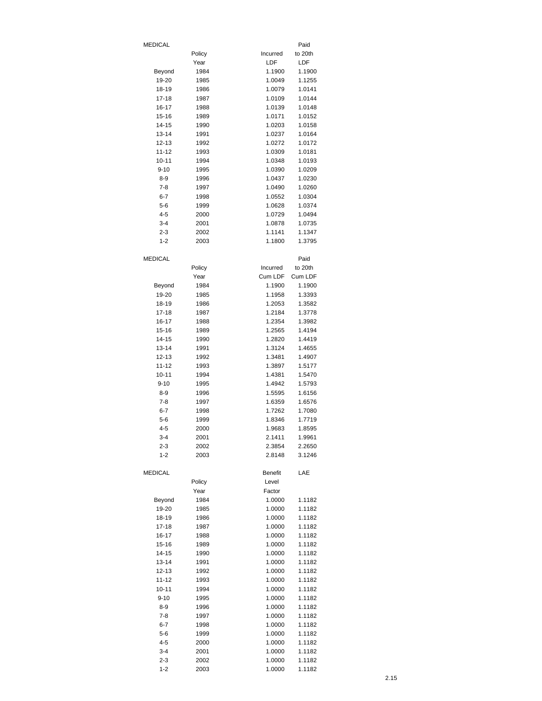| <b>MEDICAL</b>     |              |                  | Paid             |
|--------------------|--------------|------------------|------------------|
|                    | Policy       | Incurred         | to 20th          |
|                    | Year         | LDF              | LDF              |
| Beyond             | 1984         | 1.1900           | 1.1900           |
| 19-20              | 1985         | 1.0049           | 1.1255           |
| 18-19              | 1986         | 1.0079           | 1.0141           |
| $17 - 18$          | 1987         | 1.0109<br>1.0139 | 1.0144           |
| 16-17<br>15-16     | 1988<br>1989 | 1.0171           | 1.0148<br>1.0152 |
| 14-15              | 1990         | 1.0203           | 1.0158           |
| 13-14              | 1991         | 1.0237           | 1.0164           |
| 12-13              | 1992         | 1.0272           | 1.0172           |
| 11-12              | 1993         | 1.0309           | 1.0181           |
| $10 - 11$          | 1994         | 1.0348           | 1.0193           |
| $9 - 10$           | 1995         | 1.0390           | 1.0209           |
| $8 - 9$            | 1996         | 1.0437           | 1.0230           |
| $7-8$              | 1997         | 1.0490           | 1.0260           |
| $6 - 7$            | 1998         | 1.0552           | 1.0304           |
| $5 - 6$            | 1999         | 1.0628           | 1.0374           |
| $4 - 5$<br>$3 - 4$ | 2000<br>2001 | 1.0729<br>1.0878 | 1.0494<br>1.0735 |
| $2 - 3$            | 2002         | 1.1141           | 1.1347           |
| $1 - 2$            | 2003         | 1.1800           | 1.3795           |
|                    |              |                  |                  |
| <b>MEDICAL</b>     |              |                  | Paid             |
|                    | Policy       | Incurred         | to 20th          |
|                    | Year         | Cum LDF          | Cum LDF          |
| Beyond             | 1984         | 1.1900           | 1.1900           |
| 19-20              | 1985         | 1.1958           | 1.3393           |
| 18-19              | 1986         | 1.2053           | 1.3582           |
| 17-18              | 1987         | 1.2184           | 1.3778           |
| 16-17              | 1988         | 1.2354           | 1.3982           |
| 15-16              | 1989         | 1.2565<br>1.2820 | 1.4194           |
| 14-15<br>13-14     | 1990<br>1991 | 1.3124           | 1.4419<br>1.4655 |
| 12-13              | 1992         | 1.3481           | 1.4907           |
| 11-12              | 1993         | 1.3897           | 1.5177           |
| 10-11              | 1994         | 1.4381           | 1.5470           |
| $9 - 10$           | 1995         | 1.4942           | 1.5793           |
| $8 - 9$            | 1996         | 1.5595           | 1.6156           |
| $7-8$              | 1997         | 1.6359           | 1.6576           |
| $6 - 7$            | 1998         | 1.7262           | 1.7080           |
| $5 - 6$            | 1999         | 1.8346           | 1.7719           |
| $4 - 5$            | 2000         | 1.9683           | 1.8595           |
| 3-4                | 2001         | 2.1411           | 1.9961           |
| $2 - 3$<br>$1 - 2$ | 2002<br>2003 | 2.3854<br>2.8148 | 2.2650<br>3.1246 |
|                    |              |                  |                  |
| <b>MEDICAL</b>     |              | <b>Benefit</b>   | LAE              |
|                    | Policy       | Level            |                  |
|                    | Year         | Factor           |                  |
| Beyond             | 1984         | 1.0000           | 1.1182           |
| 19-20              | 1985         | 1.0000           | 1.1182           |
| 18-19              | 1986         | 1.0000           | 1.1182           |
| $17 - 18$          | 1987         | 1.0000           | 1.1182           |
| 16-17<br>15-16     | 1988<br>1989 | 1.0000<br>1.0000 | 1.1182<br>1.1182 |
| 14-15              | 1990         | 1.0000           | 1.1182           |
| $13 - 14$          | 1991         | 1.0000           | 1.1182           |
| 12-13              | 1992         | 1.0000           | 1.1182           |
| $11 - 12$          | 1993         | 1.0000           | 1.1182           |
| $10 - 11$          | 1994         | 1.0000           | 1.1182           |
| $9 - 10$           | 1995         | 1.0000           | 1.1182           |
| $8 - 9$            | 1996         | 1.0000           | 1.1182           |
| $7 - 8$            | 1997         | 1.0000           | 1.1182           |
| $6 - 7$            | 1998         | 1.0000           | 1.1182           |
| $5 - 6$            | 1999         | 1.0000           | 1.1182           |
| $4 - 5$<br>$3 - 4$ | 2000<br>2001 | 1.0000           | 1.1182           |
| $2 - 3$            | 2002         | 1.0000<br>1.0000 | 1.1182<br>1.1182 |
| $1 - 2$            | 2003         | 1.0000           | 1.1182           |
|                    |              |                  |                  |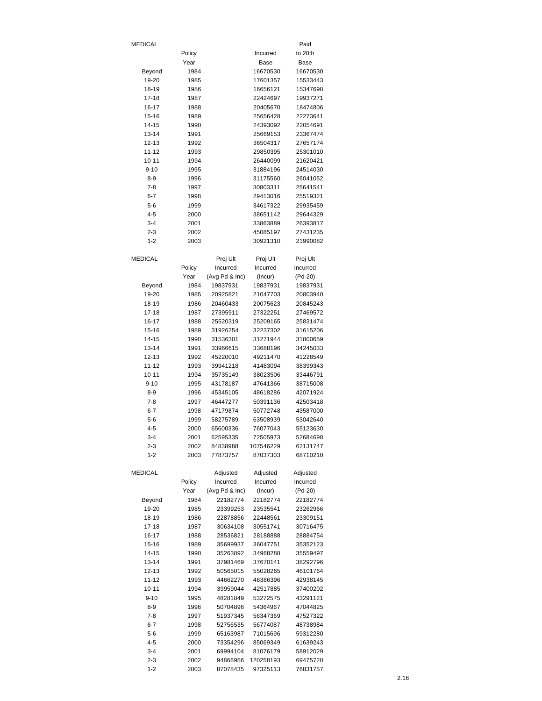| <b>MEDICAL</b>     |              |                      |                       | Paid                 |
|--------------------|--------------|----------------------|-----------------------|----------------------|
|                    | Policy       |                      | Incurred              | to 20th              |
|                    | Year         |                      | Base                  | Base                 |
| Beyond             | 1984         |                      | 16670530              | 16670530             |
| 19-20              | 1985         |                      | 17601357              | 15533443             |
| 18-19              | 1986         |                      | 16656121              | 15347698             |
| 17-18              | 1987         |                      | 22424697              | 19937271<br>18474806 |
| 16-17<br>15-16     | 1988<br>1989 |                      | 20405670<br>25656428  | 22273641             |
| 14-15              | 1990         |                      | 24393092              | 22054691             |
| $13 - 14$          | 1991         |                      | 25669153              | 23367474             |
| $12 - 13$          | 1992         |                      | 36504317              | 27657174             |
| 11-12              | 1993         |                      | 29850395              | 25301010             |
| $10 - 11$          | 1994         |                      | 26440099              | 21620421             |
| $9 - 10$           | 1995         |                      | 31884196              | 24514030             |
| $8 - 9$            | 1996         |                      | 31175560              | 26041052             |
| $7-8$              | 1997         |                      | 30803311              | 25641541             |
| $6 - 7$            | 1998         |                      | 29413016              | 25519321             |
| $5 - 6$            | 1999         |                      | 34617322              | 29935459             |
| $4 - 5$            | 2000         |                      | 38651142<br>33863889  | 29644329<br>26393817 |
| 3-4<br>$2 - 3$     | 2001<br>2002 |                      | 45085197              | 27431235             |
| $1 - 2$            | 2003         |                      | 30921310              | 21990082             |
|                    |              |                      |                       |                      |
| <b>MEDICAL</b>     |              | Proj Ult             | Proj Ult              | Proj Ult             |
|                    | Policy       | Incurred             | Incurred              | Incurred             |
|                    | Year         | (Avg Pd & Inc)       | (Incur)               | (Pd-20)              |
| Beyond             | 1984         | 19837931             | 19837931              | 19837931             |
| 19-20              | 1985         | 20925821             | 21047703              | 20803940             |
| 18-19              | 1986         | 20460433             | 20075623              | 20845243             |
| 17-18              | 1987         | 27395911             | 27322251              | 27469572             |
| 16-17              | 1988         | 25520319             | 25209165              | 25831474             |
| 15-16<br>14-15     | 1989         | 31926254<br>31536301 | 32237302<br>31271944  | 31615206<br>31800659 |
| 13-14              | 1990<br>1991 | 33966615             | 33688196              | 34245033             |
| 12-13              | 1992         | 45220010             | 49211470              | 41228549             |
| $11 - 12$          | 1993         | 39941218             | 41483094              | 38399343             |
| $10 - 11$          | 1994         | 35735149             | 38023506              | 33446791             |
| $9 - 10$           | 1995         | 43178187             | 47641366              | 38715008             |
| 8-9                | 1996         | 45345105             | 48618286              | 42071924             |
| $7 - 8$            | 1997         | 46447277             | 50391136              | 42503418             |
| $6 - 7$            | 1998         | 47179874             | 50772748              | 43587000             |
| $5-6$              | 1999         | 58275789             | 63508939              | 53042640             |
| 4-5                | 2000         | 65600336             | 76077043              | 55123630             |
| 3-4                | 2001         | 62595335             | 72505973              | 52684698             |
| 2-3                | 2002         | 84838988             | 107546229             | 62131747             |
| $1 - 2$            | 2003         | 77873757             | 87037303              | 68710210             |
| <b>MEDICAL</b>     |              | Adjusted             | Adjusted              | Adjusted             |
|                    | Policy       | Incurred             | Incurred              | Incurred             |
|                    | Year         | (Avg Pd & Inc)       | (Incur)               | (Pd-20)              |
| Beyond             | 1984         | 22182774             | 22182774              | 22182774             |
| 19-20              | 1985         | 23399253             | 23535541              | 23262966             |
| 18-19              | 1986         | 22878856             | 22448561              | 23309151             |
| 17-18              | 1987         | 30634108             | 30551741              | 30716475             |
| 16-17              | 1988         | 28536821             | 28188888              | 28884754             |
| $15 - 16$          | 1989         | 35699937             | 36047751              | 35352123             |
| 14-15<br>$13 - 14$ | 1990<br>1991 | 35263892<br>37981469 | 34968288<br>37670141  | 35559497<br>38292796 |
| 12-13              | 1992         | 50565015             | 55028265              | 46101764             |
| $11 - 12$          | 1993         | 44662270             | 46386396              | 42938145             |
| $10 - 11$          | 1994         | 39959044             | 42517885              | 37400202             |
| $9 - 10$           | 1995         | 48281849             | 53272575              | 43291121             |
| 8-9                | 1996         | 50704896             | 54364967              | 47044825             |
| $7 - 8$            | 1997         | 51937345             | 56347369              | 47527322             |
| $6 - 7$            | 1998         | 52756535             | 56774087              | 48738984             |
| $5 - 6$            | 1999         | 65163987             | 71015696              | 59312280             |
| $4 - 5$            | 2000         | 73354296             | 85069349              | 61639243             |
| $3 - 4$            | 2001         | 69994104             | 81076179              | 58912029             |
| $2 - 3$<br>$1 - 2$ | 2002<br>2003 | 94866956<br>87078435 | 120258193<br>97325113 | 69475720<br>76831757 |
|                    |              |                      |                       |                      |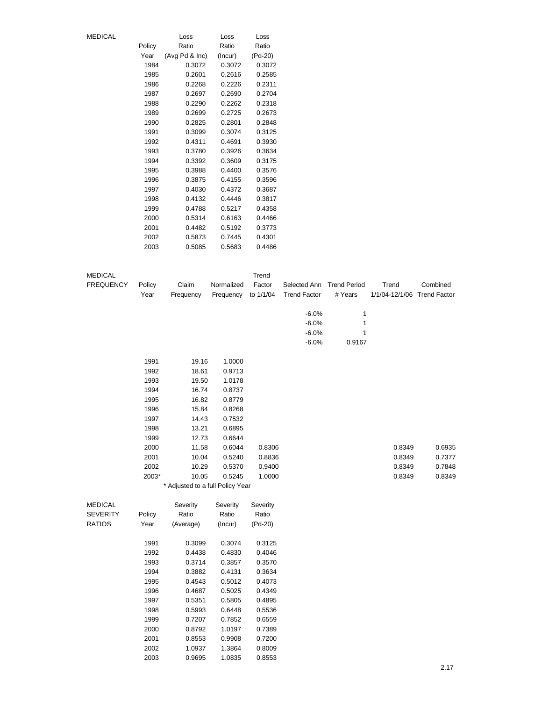| MEDICAL |        | Loss           | Loss    | Loss    |
|---------|--------|----------------|---------|---------|
|         | Policy | Ratio          | Ratio   | Ratio   |
|         | Year   | (Avg Pd & Inc) | (Incur) | (Pd-20) |
|         | 1984   | 0.3072         | 0.3072  | 0.3072  |
|         | 1985   | 0.2601         | 0.2616  | 0.2585  |
|         | 1986   | 0.2268         | 0.2226  | 0.2311  |
|         | 1987   | 0.2697         | 0.2690  | 0.2704  |
|         | 1988   | 0.2290         | 0.2262  | 0.2318  |
|         | 1989   | 0.2699         | 0.2725  | 0.2673  |
|         | 1990   | 0.2825         | 0.2801  | 0.2848  |
|         | 1991   | 0.3099         | 0.3074  | 0.3125  |
|         | 1992   | 0.4311         | 0.4691  | 0.3930  |
|         | 1993   | 0.3780         | 0.3926  | 0.3634  |
|         | 1994   | 0.3392         | 0.3609  | 0.3175  |
|         | 1995   | 0.3988         | 0.4400  | 0.3576  |
|         | 1996   | 0.3875         | 0.4155  | 0.3596  |
|         | 1997   | 0.4030         | 0.4372  | 0.3687  |
|         | 1998   | 0.4132         | 0.4446  | 0.3817  |
|         | 1999   | 0.4788         | 0.5217  | 0.4358  |
|         | 2000   | 0.5314         | 0.6163  | 0.4466  |
|         | 2001   | 0.4482         | 0.5192  | 0.3773  |
|         | 2002   | 0.5873         | 0.7445  | 0.4301  |
|         | 2003   | 0.5085         | 0.5683  | 0.4486  |

| <b>MEDICAL</b>   |              |                                  |                  | Trend            |                     |                     |                             |          |
|------------------|--------------|----------------------------------|------------------|------------------|---------------------|---------------------|-----------------------------|----------|
| <b>FREQUENCY</b> | Policy       | Claim                            | Normalized       | Factor           | Selected Ann        | <b>Trend Period</b> | Trend                       | Combined |
|                  | Year         | Frequency                        | Frequency        | to 1/1/04        | <b>Trend Factor</b> | # Years             | 1/1/04-12/1/06 Trend Factor |          |
|                  |              |                                  |                  |                  |                     |                     |                             |          |
|                  |              |                                  |                  |                  | $-6.0%$             | 1                   |                             |          |
|                  |              |                                  |                  |                  | $-6.0%$             | 1                   |                             |          |
|                  |              |                                  |                  |                  | $-6.0%$             | 1                   |                             |          |
|                  |              |                                  |                  |                  | $-6.0%$             | 0.9167              |                             |          |
|                  | 1991         | 19.16                            | 1.0000           |                  |                     |                     |                             |          |
|                  | 1992         | 18.61                            | 0.9713           |                  |                     |                     |                             |          |
|                  | 1993         | 19.50                            | 1.0178           |                  |                     |                     |                             |          |
|                  | 1994         | 16.74                            | 0.8737           |                  |                     |                     |                             |          |
|                  | 1995         | 16.82                            | 0.8779           |                  |                     |                     |                             |          |
|                  | 1996         | 15.84                            | 0.8268           |                  |                     |                     |                             |          |
|                  | 1997         | 14.43                            | 0.7532           |                  |                     |                     |                             |          |
|                  | 1998         | 13.21                            | 0.6895           |                  |                     |                     |                             |          |
|                  | 1999         | 12.73                            | 0.6644           |                  |                     |                     |                             |          |
|                  | 2000         | 11.58                            | 0.6044           | 0.8306           |                     |                     | 0.8349                      | 0.6935   |
|                  | 2001         | 10.04                            | 0.5240           | 0.8836           |                     |                     | 0.8349                      | 0.7377   |
|                  | 2002         | 10.29                            | 0.5370           | 0.9400           |                     |                     | 0.8349                      | 0.7848   |
|                  | 2003*        | 10.05                            | 0.5245           | 1.0000           |                     |                     | 0.8349                      | 0.8349   |
|                  |              | * Adjusted to a full Policy Year |                  |                  |                     |                     |                             |          |
| <b>MEDICAL</b>   |              | Severity                         | Severity         | Severity         |                     |                     |                             |          |
| <b>SEVERITY</b>  | Policy       | Ratio                            | Ratio            | Ratio            |                     |                     |                             |          |
| <b>RATIOS</b>    | Year         | (Average)                        | (Incur)          | (Pd-20)          |                     |                     |                             |          |
|                  |              |                                  |                  |                  |                     |                     |                             |          |
|                  | 1991<br>1992 | 0.3099<br>0.4438                 | 0.3074<br>0.4830 | 0.3125<br>0.4046 |                     |                     |                             |          |
|                  | 1993         | 0.3714                           | 0.3857           | 0.3570           |                     |                     |                             |          |
|                  | 1994         | 0.3882                           | 0.4131           | 0.3634           |                     |                     |                             |          |
|                  | 1995         | 0.4543                           | 0.5012           | 0.4073           |                     |                     |                             |          |
|                  | 1996         | 0.4687                           | 0.5025           | 0.4349           |                     |                     |                             |          |
|                  | 1997         | 0.5351                           | 0.5805           | 0.4895           |                     |                     |                             |          |
|                  | 1998         | 0.5993                           | 0.6448           | 0.5536           |                     |                     |                             |          |
|                  | 1999         | 0.7207                           | 0.7852           | 0.6559           |                     |                     |                             |          |
|                  | 2000         | 0.8792                           | 1.0197           | 0.7389           |                     |                     |                             |          |
|                  | 2001         | 0.8553                           | 0.9908           | 0.7200           |                     |                     |                             |          |

2002 1.0937 1.3864 0.8009 2003 0.9695 1.0835 0.8553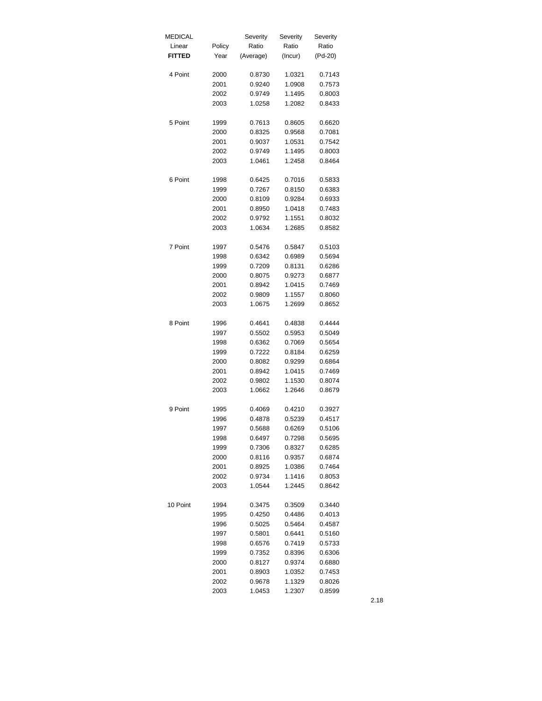| <b>MEDICAL</b> |        | Severity  | Severity | Severity |
|----------------|--------|-----------|----------|----------|
| Linear         | Policy | Ratio     | Ratio    | Ratio    |
| <b>FITTED</b>  | Year   | (Average) | (Incur)  | (Pd-20)  |
| 4 Point        | 2000   | 0.8730    | 1.0321   | 0.7143   |
|                | 2001   | 0.9240    | 1.0908   | 0.7573   |
|                | 2002   | 0.9749    | 1.1495   | 0.8003   |
|                |        |           |          |          |
|                | 2003   | 1.0258    | 1.2082   | 0.8433   |
| 5 Point        | 1999   | 0.7613    | 0.8605   | 0.6620   |
|                | 2000   | 0.8325    | 0.9568   | 0.7081   |
|                | 2001   | 0.9037    | 1.0531   | 0.7542   |
|                | 2002   | 0.9749    | 1.1495   | 0.8003   |
|                | 2003   | 1.0461    | 1.2458   | 0.8464   |
| 6 Point        | 1998   | 0.6425    | 0.7016   | 0.5833   |
|                | 1999   | 0.7267    | 0.8150   | 0.6383   |
|                | 2000   | 0.8109    | 0.9284   | 0.6933   |
|                | 2001   | 0.8950    | 1.0418   | 0.7483   |
|                | 2002   | 0.9792    | 1.1551   | 0.8032   |
|                | 2003   | 1.0634    | 1.2685   | 0.8582   |
| 7 Point        | 1997   | 0.5476    | 0.5847   | 0.5103   |
|                | 1998   | 0.6342    |          | 0.5694   |
|                |        |           | 0.6989   |          |
|                | 1999   | 0.7209    | 0.8131   | 0.6286   |
|                | 2000   | 0.8075    | 0.9273   | 0.6877   |
|                | 2001   | 0.8942    | 1.0415   | 0.7469   |
|                | 2002   | 0.9809    | 1.1557   | 0.8060   |
|                | 2003   | 1.0675    | 1.2699   | 0.8652   |
| 8 Point        | 1996   | 0.4641    | 0.4838   | 0.4444   |
|                | 1997   | 0.5502    | 0.5953   | 0.5049   |
|                | 1998   | 0.6362    | 0.7069   | 0.5654   |
|                | 1999   | 0.7222    | 0.8184   | 0.6259   |
|                | 2000   | 0.8082    | 0.9299   | 0.6864   |
|                | 2001   | 0.8942    | 1.0415   | 0.7469   |
|                | 2002   | 0.9802    | 1.1530   | 0.8074   |
|                | 2003   | 1.0662    | 1.2646   | 0.8679   |
| 9 Point        | 1995   | 0.4069    | 0.4210   | 0.3927   |
|                | 1996   | 0.4878    | 0.5239   | 0.4517   |
|                | 1997   | 0.5688    | 0.6269   | 0.5106   |
|                | 1998   | 0.6497    | 0.7298   | 0.5695   |
|                | 1999   | 0.7306    | 0.8327   | 0.6285   |
|                | 2000   | 0.8116    | 0.9357   | 0.6874   |
|                | 2001   | 0.8925    | 1.0386   | 0.7464   |
|                | 2002   | 0.9734    | 1.1416   | 0.8053   |
|                | 2003   | 1.0544    | 1.2445   | 0.8642   |
| 10 Point       |        | 0.3475    |          |          |
|                | 1994   |           | 0.3509   | 0.3440   |
|                | 1995   | 0.4250    | 0.4486   | 0.4013   |
|                | 1996   | 0.5025    | 0.5464   | 0.4587   |
|                | 1997   | 0.5801    | 0.6441   | 0.5160   |
|                | 1998   | 0.6576    | 0.7419   | 0.5733   |
|                | 1999   | 0.7352    | 0.8396   | 0.6306   |
|                | 2000   | 0.8127    | 0.9374   | 0.6880   |
|                | 2001   | 0.8903    | 1.0352   | 0.7453   |
|                | 2002   | 0.9678    | 1.1329   | 0.8026   |
|                | 2003   | 1.0453    | 1.2307   | 0.8599   |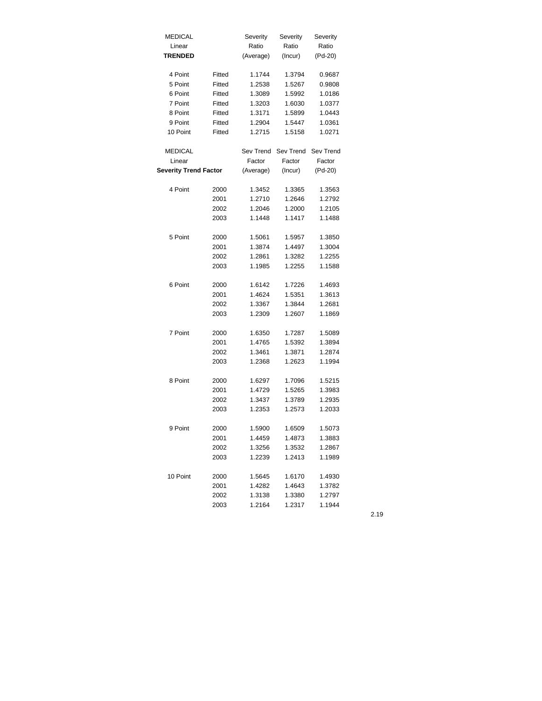| <b>MEDICAL</b>               |        | Severity  | Severity  | Severity  |
|------------------------------|--------|-----------|-----------|-----------|
| Linear                       |        | Ratio     | Ratio     | Ratio     |
| <b>TRENDED</b>               |        | (Average) | (Incur)   | (Pd-20)   |
|                              |        |           |           |           |
| 4 Point                      | Fitted | 1.1744    | 1.3794    | 0.9687    |
| 5 Point                      | Fitted | 1.2538    | 1.5267    | 0.9808    |
| 6 Point                      | Fitted | 1.3089    | 1.5992    | 1.0186    |
| 7 Point                      | Fitted | 1.3203    | 1.6030    | 1.0377    |
| 8 Point                      | Fitted | 1.3171    | 1.5899    | 1.0443    |
| 9 Point                      | Fitted | 1.2904    | 1.5447    | 1.0361    |
| 10 Point                     | Fitted | 1.2715    | 1.5158    | 1.0271    |
| <b>MEDICAL</b>               |        | Sev Trend | Sev Trend | Sev Trend |
| Linear                       |        | Factor    | Factor    | Factor    |
| <b>Severity Trend Factor</b> |        | (Average) | (Incur)   | (Pd-20)   |
|                              |        |           |           |           |
| 4 Point                      | 2000   | 1.3452    | 1.3365    | 1.3563    |
|                              | 2001   | 1.2710    | 1.2646    | 1.2792    |
|                              | 2002   | 1.2046    | 1.2000    | 1.2105    |
|                              | 2003   | 1.1448    | 1.1417    | 1.1488    |
|                              |        |           |           |           |
| 5 Point                      | 2000   | 1.5061    | 1.5957    | 1.3850    |
|                              | 2001   | 1.3874    | 1.4497    | 1.3004    |
|                              | 2002   | 1.2861    | 1.3282    | 1.2255    |
|                              | 2003   | 1.1985    | 1.2255    | 1.1588    |
|                              |        |           |           |           |
| 6 Point                      | 2000   | 1.6142    | 1.7226    | 1.4693    |
|                              | 2001   | 1.4624    | 1.5351    | 1.3613    |
|                              | 2002   | 1.3367    | 1.3844    | 1.2681    |
|                              | 2003   | 1.2309    | 1.2607    | 1.1869    |
|                              |        |           |           |           |
| 7 Point                      | 2000   | 1.6350    | 1.7287    | 1.5089    |
|                              | 2001   | 1.4765    | 1.5392    | 1.3894    |
|                              | 2002   | 1.3461    | 1.3871    | 1.2874    |
|                              | 2003   | 1.2368    | 1.2623    | 1.1994    |
| 8 Point                      | 2000   | 1.6297    | 1.7096    | 1.5215    |
|                              | 2001   | 1.4729    | 1.5265    | 1.3983    |
|                              | 2002   | 1.3437    | 1.3789    | 1.2935    |
|                              | 2003   | 1.2353    | 1.2573    | 1.2033    |
|                              |        |           |           |           |
| 9 Point                      | 2000   | 1.5900    | 1.6509    | 1.5073    |
|                              | 2001   | 1.4459    | 1.4873    | 1.3883    |
|                              | 2002   | 1.3256    | 1.3532    | 1.2867    |
|                              | 2003   | 1.2239    | 1.2413    | 1.1989    |
|                              |        |           |           |           |
| 10 Point                     | 2000   | 1.5645    | 1.6170    | 1.4930    |
|                              | 2001   | 1.4282    | 1.4643    | 1.3782    |
|                              | 2002   | 1.3138    | 1.3380    | 1.2797    |
|                              | 2003   | 1.2164    | 1.2317    | 1.1944    |
|                              |        |           |           |           |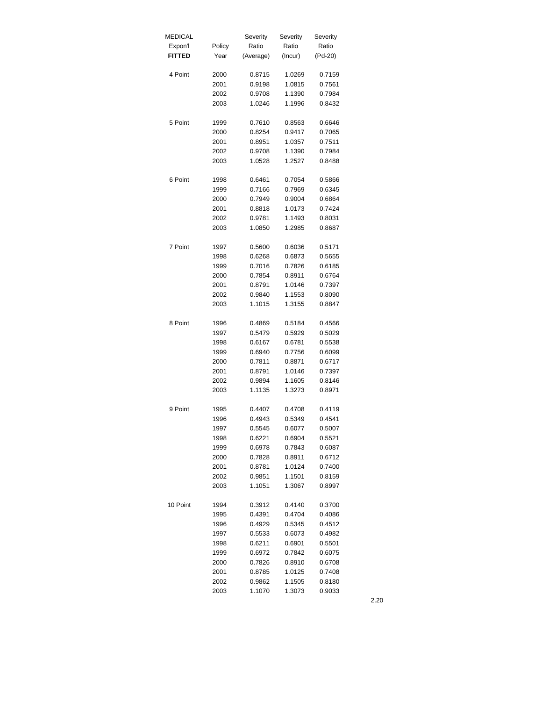| <b>MEDICAL</b> |        | Severity  | Severity | Severity |
|----------------|--------|-----------|----------|----------|
| Expon'l        | Policy | Ratio     | Ratio    | Ratio    |
| <b>FITTED</b>  | Year   | (Average) | (Incur)  | (Pd-20)  |
|                |        |           |          |          |
| 4 Point        | 2000   | 0.8715    | 1.0269   | 0.7159   |
|                | 2001   | 0.9198    | 1.0815   | 0.7561   |
|                | 2002   | 0.9708    | 1.1390   | 0.7984   |
|                | 2003   | 1.0246    | 1.1996   | 0.8432   |
|                |        |           |          |          |
| 5 Point        | 1999   | 0.7610    | 0.8563   | 0.6646   |
|                | 2000   | 0.8254    | 0.9417   | 0.7065   |
|                | 2001   | 0.8951    | 1.0357   | 0.7511   |
|                | 2002   | 0.9708    | 1.1390   | 0.7984   |
|                | 2003   | 1.0528    | 1.2527   | 0.8488   |
|                |        |           |          |          |
| 6 Point        | 1998   | 0.6461    | 0.7054   | 0.5866   |
|                | 1999   | 0.7166    | 0.7969   | 0.6345   |
|                | 2000   | 0.7949    | 0.9004   | 0.6864   |
|                | 2001   | 0.8818    | 1.0173   | 0.7424   |
|                | 2002   | 0.9781    | 1.1493   | 0.8031   |
|                | 2003   | 1.0850    | 1.2985   | 0.8687   |
|                |        |           |          |          |
| 7 Point        | 1997   | 0.5600    | 0.6036   | 0.5171   |
|                | 1998   | 0.6268    | 0.6873   | 0.5655   |
|                | 1999   | 0.7016    | 0.7826   | 0.6185   |
|                | 2000   | 0.7854    | 0.8911   | 0.6764   |
|                | 2001   | 0.8791    | 1.0146   | 0.7397   |
|                | 2002   | 0.9840    | 1.1553   | 0.8090   |
|                | 2003   | 1.1015    | 1.3155   | 0.8847   |
|                |        |           |          |          |
| 8 Point        | 1996   | 0.4869    | 0.5184   | 0.4566   |
|                | 1997   | 0.5479    | 0.5929   | 0.5029   |
|                | 1998   | 0.6167    | 0.6781   | 0.5538   |
|                | 1999   | 0.6940    | 0.7756   | 0.6099   |
|                | 2000   | 0.7811    | 0.8871   | 0.6717   |
|                | 2001   | 0.8791    | 1.0146   | 0.7397   |
|                | 2002   | 0.9894    | 1.1605   | 0.8146   |
|                | 2003   | 1.1135    | 1.3273   | 0.8971   |
|                |        |           |          |          |
| 9 Point        | 1995   | 0.4407    | 0.4708   | 0.4119   |
|                | 1996   | 0.4943    | 0.5349   | 0.4541   |
|                | 1997   | 0.5545    | 0.6077   | 0.5007   |
|                | 1998   | 0.6221    | 0.6904   | 0.5521   |
|                | 1999   | 0.6978    | 0.7843   | 0.6087   |
|                | 2000   | 0.7828    | 0.8911   | 0.6712   |
|                | 2001   | 0.8781    | 1.0124   | 0.7400   |
|                | 2002   | 0.9851    | 1.1501   | 0.8159   |
|                | 2003   | 1.1051    | 1.3067   | 0.8997   |
|                |        |           |          |          |
| 10 Point       | 1994   | 0.3912    | 0.4140   | 0.3700   |
|                | 1995   | 0.4391    | 0.4704   | 0.4086   |
|                | 1996   | 0.4929    | 0.5345   | 0.4512   |
|                | 1997   | 0.5533    | 0.6073   | 0.4982   |
|                | 1998   | 0.6211    | 0.6901   | 0.5501   |
|                | 1999   | 0.6972    | 0.7842   | 0.6075   |
|                | 2000   | 0.7826    | 0.8910   | 0.6708   |
|                | 2001   | 0.8785    | 1.0125   | 0.7408   |
|                | 2002   | 0.9862    | 1.1505   | 0.8180   |
|                | 2003   | 1.1070    | 1.3073   | 0.9033   |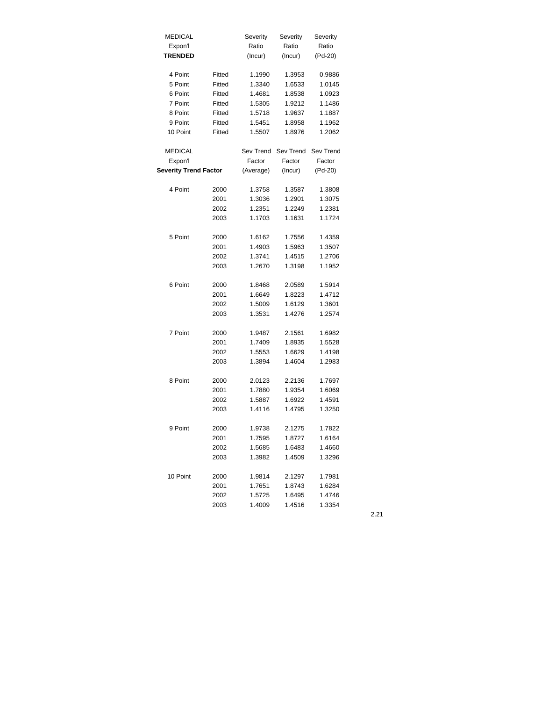| <b>MEDICAL</b>               |        | Severity  | Severity  | Severity  |
|------------------------------|--------|-----------|-----------|-----------|
| Expon'l                      |        | Ratio     | Ratio     | Ratio     |
| <b>TRENDED</b>               |        | (Incur)   | (Incur)   | (Pd-20)   |
|                              |        |           |           |           |
| 4 Point                      | Fitted | 1.1990    | 1.3953    | 0.9886    |
| 5 Point                      | Fitted | 1.3340    | 1.6533    | 1.0145    |
| 6 Point                      | Fitted | 1.4681    | 1.8538    | 1.0923    |
| 7 Point                      | Fitted | 1.5305    | 1.9212    | 1.1486    |
| 8 Point                      | Fitted | 1.5718    | 1.9637    | 1.1887    |
| 9 Point                      | Fitted | 1.5451    | 1.8958    | 1.1962    |
| 10 Point                     | Fitted | 1.5507    | 1.8976    | 1.2062    |
|                              |        |           |           |           |
| <b>MEDICAL</b>               |        | Sev Trend | Sev Trend | Sev Trend |
| Expon'l                      |        | Factor    | Factor    | Factor    |
| <b>Severity Trend Factor</b> |        | (Average) | (Incur)   | (Pd-20)   |
| 4 Point                      | 2000   | 1.3758    | 1.3587    | 1.3808    |
|                              | 2001   | 1.3036    | 1.2901    | 1.3075    |
|                              | 2002   | 1.2351    | 1.2249    | 1.2381    |
|                              | 2003   | 1.1703    | 1.1631    | 1.1724    |
|                              |        |           |           |           |
| 5 Point                      | 2000   | 1.6162    | 1.7556    | 1.4359    |
|                              | 2001   | 1.4903    | 1.5963    | 1.3507    |
|                              | 2002   | 1.3741    | 1.4515    | 1.2706    |
|                              | 2003   | 1.2670    | 1.3198    | 1.1952    |
|                              |        |           |           |           |
| 6 Point                      | 2000   | 1.8468    | 2.0589    | 1.5914    |
|                              | 2001   | 1.6649    | 1.8223    | 1.4712    |
|                              | 2002   | 1.5009    | 1.6129    | 1.3601    |
|                              | 2003   | 1.3531    | 1.4276    | 1.2574    |
|                              |        |           |           |           |
| 7 Point                      | 2000   | 1.9487    | 2.1561    | 1.6982    |
|                              | 2001   | 1.7409    | 1.8935    | 1.5528    |
|                              | 2002   | 1.5553    | 1.6629    | 1.4198    |
|                              | 2003   | 1.3894    | 1.4604    | 1.2983    |
|                              |        |           |           |           |
| 8 Point                      | 2000   | 2.0123    | 2.2136    | 1.7697    |
|                              | 2001   | 1.7880    | 1.9354    | 1.6069    |
|                              | 2002   | 1.5887    | 1.6922    | 1.4591    |
|                              | 2003   | 1.4116    | 1.4795    | 1.3250    |
| 9 Point                      | 2000   | 1.9738    | 2.1275    | 1.7822    |
|                              | 2001   | 1.7595    | 1.8727    | 1.6164    |
|                              | 2002   | 1.5685    | 1.6483    | 1.4660    |
|                              | 2003   | 1.3982    | 1.4509    | 1.3296    |
|                              |        |           |           |           |
| 10 Point                     | 2000   | 1.9814    | 2.1297    | 1.7981    |
|                              | 2001   | 1.7651    | 1.8743    | 1.6284    |
|                              | 2002   | 1.5725    | 1.6495    | 1.4746    |
|                              | 2003   | 1.4009    | 1.4516    | 1.3354    |
|                              |        |           |           |           |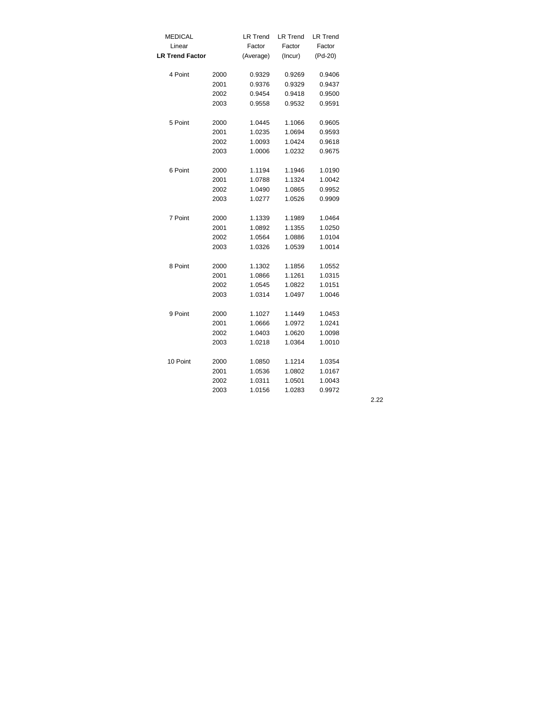| <b>MEDICAL</b>         |      | <b>LR Trend</b> | <b>LR Trend</b> | <b>LR Trend</b> |
|------------------------|------|-----------------|-----------------|-----------------|
| Linear                 |      | Factor          | Factor          | Factor          |
| <b>LR Trend Factor</b> |      | (Average)       | (Incur)         | (Pd-20)         |
| 4 Point                | 2000 | 0.9329          | 0.9269          | 0.9406          |
|                        | 2001 | 0.9376          | 0.9329          | 0.9437          |
|                        | 2002 | 0.9454          | 0.9418          | 0.9500          |
|                        | 2003 | 0.9558          | 0.9532          | 0.9591          |
|                        |      |                 |                 |                 |
| 5 Point                | 2000 | 1.0445          | 1.1066          | 0.9605          |
|                        | 2001 | 1.0235          | 1.0694          | 0.9593          |
|                        | 2002 | 1.0093          | 1.0424          | 0.9618          |
|                        | 2003 | 1.0006          | 1.0232          | 0.9675          |
| 6 Point                | 2000 | 1.1194          | 1.1946          | 1.0190          |
|                        | 2001 | 1.0788          | 1.1324          | 1.0042          |
|                        | 2002 | 1.0490          | 1.0865          | 0.9952          |
|                        | 2003 | 1.0277          | 1.0526          | 0.9909          |
| 7 Point                | 2000 | 1.1339          | 1.1989          | 1.0464          |
|                        | 2001 | 1.0892          | 1.1355          | 1.0250          |
|                        | 2002 | 1.0564          | 1.0886          | 1.0104          |
|                        | 2003 | 1.0326          | 1.0539          | 1.0014          |
| 8 Point                | 2000 | 1.1302          | 1.1856          | 1.0552          |
|                        | 2001 | 1.0866          | 1.1261          | 1.0315          |
|                        | 2002 | 1.0545          | 1.0822          | 1.0151          |
|                        | 2003 | 1.0314          | 1.0497          | 1.0046          |
|                        |      |                 |                 |                 |
| 9 Point                | 2000 | 1.1027          | 1.1449          | 1.0453          |
|                        | 2001 | 1.0666          | 1.0972          | 1.0241          |
|                        | 2002 | 1.0403          | 1.0620          | 1.0098          |
|                        | 2003 | 1.0218          | 1.0364          | 1.0010          |
| 10 Point               | 2000 | 1.0850          | 1.1214          | 1.0354          |
|                        | 2001 | 1.0536          | 1.0802          | 1.0167          |
|                        | 2002 | 1.0311          | 1.0501          | 1.0043          |
|                        | 2003 | 1.0156          | 1.0283          | 0.9972          |
|                        |      |                 |                 |                 |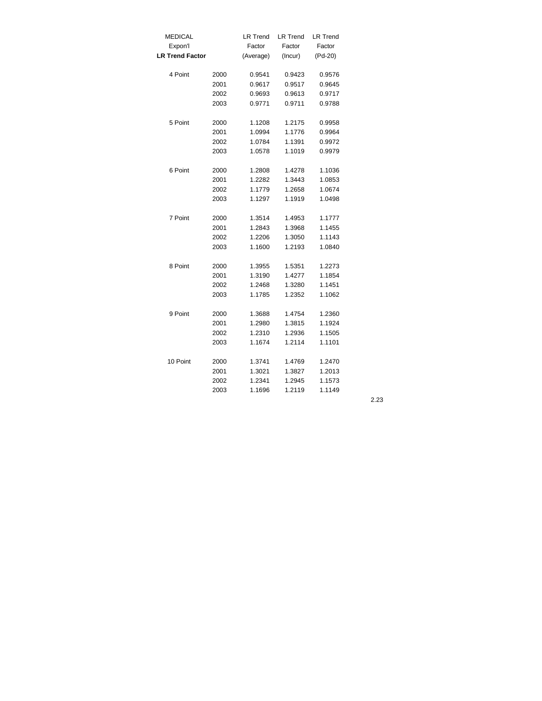| <b>MEDICAL</b>         |      | <b>LR Trend</b> | <b>LR Trend</b> | <b>LR Trend</b> |
|------------------------|------|-----------------|-----------------|-----------------|
| Expon'l                |      | Factor          | Factor          | Factor          |
| <b>LR Trend Factor</b> |      | (Average)       | (Incur)         | $(Pd-20)$       |
| 4 Point                | 2000 | 0.9541          | 0.9423          | 0.9576          |
|                        | 2001 | 0.9617          | 0.9517          | 0.9645          |
|                        | 2002 | 0.9693          | 0.9613          | 0.9717          |
|                        | 2003 | 0.9771          | 0.9711          | 0.9788          |
| 5 Point                | 2000 | 1.1208          | 1.2175          | 0.9958          |
|                        | 2001 | 1.0994          | 1.1776          | 0.9964          |
|                        | 2002 | 1.0784          | 1.1391          | 0.9972          |
|                        | 2003 | 1.0578          | 1.1019          | 0.9979          |
| 6 Point                | 2000 | 1.2808          | 1.4278          | 1.1036          |
|                        | 2001 | 1.2282          | 1.3443          | 1.0853          |
|                        | 2002 | 1.1779          | 1.2658          | 1.0674          |
|                        | 2003 | 1.1297          | 1.1919          | 1.0498          |
| 7 Point                | 2000 | 1.3514          | 1.4953          | 1.1777          |
|                        | 2001 | 1.2843          | 1.3968          | 1.1455          |
|                        | 2002 | 1.2206          | 1.3050          | 1.1143          |
|                        | 2003 | 1.1600          | 1.2193          | 1.0840          |
| 8 Point                | 2000 | 1.3955          | 1.5351          | 1.2273          |
|                        | 2001 | 1.3190          | 1.4277          | 1.1854          |
|                        | 2002 | 1.2468          | 1.3280          | 1.1451          |
|                        | 2003 | 1.1785          | 1.2352          | 1.1062          |
| 9 Point                | 2000 | 1.3688          | 1.4754          | 1.2360          |
|                        | 2001 | 1.2980          | 1.3815          | 1.1924          |
|                        | 2002 | 1.2310          | 1.2936          | 1.1505          |
|                        | 2003 | 1.1674          | 1.2114          | 1.1101          |
| 10 Point               | 2000 | 1.3741          | 1.4769          | 1.2470          |
|                        | 2001 | 1.3021          | 1.3827          | 1.2013          |
|                        | 2002 | 1.2341          | 1.2945          | 1.1573          |
|                        | 2003 | 1.1696          | 1.2119          | 1.1149          |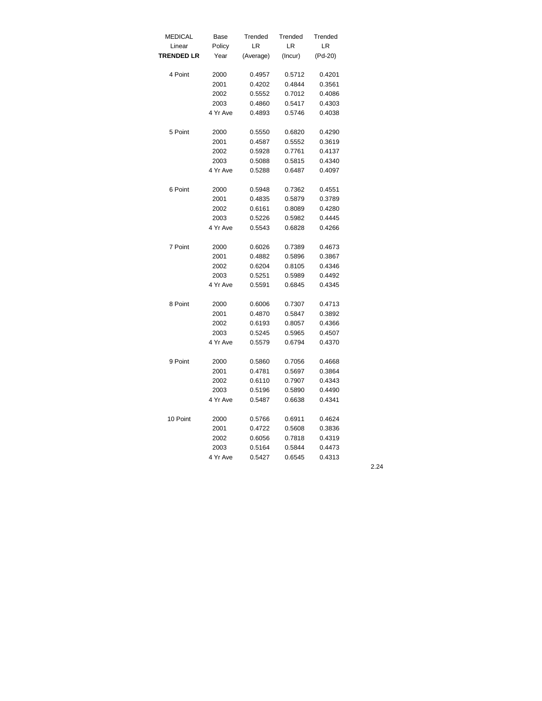| <b>MEDICAL</b>    | Base     | Trended   | Trended | Trended |
|-------------------|----------|-----------|---------|---------|
| Linear            | Policy   | LR        | LR      | LR      |
| <b>TRENDED LR</b> | Year     | (Average) | (Incur) | (Pd-20) |
|                   |          |           |         |         |
| 4 Point           | 2000     | 0.4957    | 0.5712  | 0.4201  |
|                   | 2001     | 0.4202    | 0.4844  | 0.3561  |
|                   | 2002     | 0.5552    | 0.7012  | 0.4086  |
|                   | 2003     | 0.4860    | 0.5417  | 0.4303  |
|                   | 4 Yr Ave | 0.4893    | 0.5746  | 0.4038  |
| 5 Point           |          |           |         |         |
|                   | 2000     | 0.5550    | 0.6820  | 0.4290  |
|                   | 2001     | 0.4587    | 0.5552  | 0.3619  |
|                   | 2002     | 0.5928    | 0.7761  | 0.4137  |
|                   | 2003     | 0.5088    | 0.5815  | 0.4340  |
|                   | 4 Yr Ave | 0.5288    | 0.6487  | 0.4097  |
| 6 Point           | 2000     | 0.5948    | 0.7362  | 0.4551  |
|                   | 2001     | 0.4835    | 0.5879  | 0.3789  |
|                   | 2002     | 0.6161    | 0.8089  | 0.4280  |
|                   | 2003     | 0.5226    | 0.5982  | 0.4445  |
|                   | 4 Yr Ave | 0.5543    | 0.6828  | 0.4266  |
|                   |          |           |         |         |
| 7 Point           | 2000     | 0.6026    | 0.7389  | 0.4673  |
|                   | 2001     | 0.4882    | 0.5896  | 0.3867  |
|                   | 2002     | 0.6204    | 0.8105  | 0.4346  |
|                   | 2003     | 0.5251    | 0.5989  | 0.4492  |
|                   | 4 Yr Ave | 0.5591    | 0.6845  | 0.4345  |
|                   |          |           |         |         |
| 8 Point           | 2000     | 0.6006    | 0.7307  | 0.4713  |
|                   | 2001     | 0.4870    | 0.5847  | 0.3892  |
|                   | 2002     | 0.6193    | 0.8057  | 0.4366  |
|                   | 2003     | 0.5245    | 0.5965  | 0.4507  |
|                   | 4 Yr Ave | 0.5579    | 0.6794  | 0.4370  |
| 9 Point           | 2000     | 0.5860    | 0.7056  | 0.4668  |
|                   | 2001     | 0.4781    | 0.5697  | 0.3864  |
|                   | 2002     | 0.6110    | 0.7907  | 0.4343  |
|                   | 2003     | 0.5196    | 0.5890  | 0.4490  |
|                   | 4 Yr Ave | 0.5487    | 0.6638  | 0.4341  |
|                   |          |           |         |         |
| 10 Point          | 2000     | 0.5766    | 0.6911  | 0.4624  |
|                   | 2001     | 0.4722    | 0.5608  | 0.3836  |
|                   | 2002     | 0.6056    | 0.7818  | 0.4319  |
|                   | 2003     | 0.5164    | 0.5844  | 0.4473  |
|                   | 4 Yr Ave | 0.5427    | 0.6545  | 0.4313  |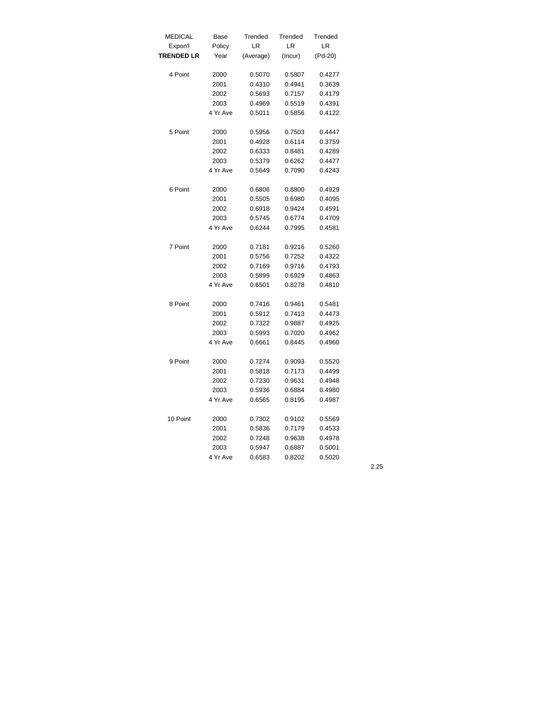| <b>MEDICAL</b>    | Base     | Trended   | Trended | Trended |
|-------------------|----------|-----------|---------|---------|
| Expon'l           | Policy   | LR        | LR      | LR      |
| <b>TRENDED LR</b> | Year     | (Average) | (Incur) | (Pd-20) |
| 4 Point           | 2000     | 0.5070    | 0.5807  | 0.4277  |
|                   | 2001     | 0.4310    | 0.4941  | 0.3639  |
|                   | 2002     | 0.5693    | 0.7157  | 0.4179  |
|                   | 2003     | 0.4969    | 0.5519  | 0.4391  |
|                   | 4 Yr Ave | 0.5011    | 0.5856  | 0.4122  |
| 5 Point           | 2000     | 0.5956    | 0.7503  | 0.4447  |
|                   | 2001     | 0.4928    | 0.6114  | 0.3759  |
|                   | 2002     | 0.6333    | 0.8481  | 0.4289  |
|                   | 2003     | 0.5379    | 0.6262  | 0.4477  |
|                   | 4 Yr Ave | 0.5649    | 0.7090  | 0.4243  |
| 6 Point           | 2000     | 0.6806    | 0.8800  | 0.4929  |
|                   | 2001     | 0.5505    | 0.6980  | 0.4095  |
|                   | 2002     | 0.6918    | 0.9424  | 0.4591  |
|                   | 2003     | 0.5745    | 0.6774  | 0.4709  |
|                   | 4 Yr Ave | 0.6244    | 0.7995  | 0.4581  |
| 7 Point           | 2000     | 0.7181    | 0.9216  | 0.5260  |
|                   | 2001     | 0.5756    | 0.7252  | 0.4322  |
|                   | 2002     | 0.7169    | 0.9716  | 0.4793  |
|                   | 2003     | 0.5899    | 0.6929  | 0.4863  |
|                   | 4 Yr Ave | 0.6501    | 0.8278  | 0.4810  |
| 8 Point           | 2000     | 0.7416    | 0.9461  | 0.5481  |
|                   | 2001     | 0.5912    | 0.7413  | 0.4473  |
|                   | 2002     | 0.7322    | 0.9887  | 0.4925  |
|                   | 2003     | 0.5993    | 0.7020  | 0.4962  |
|                   | 4 Yr Ave | 0.6661    | 0.8445  | 0.4960  |
| 9 Point           | 2000     | 0.7274    | 0.9093  | 0.5520  |
|                   | 2001     | 0.5818    | 0.7173  | 0.4499  |
|                   | 2002     | 0.7230    | 0.9631  | 0.4948  |
|                   | 2003     | 0.5936    | 0.6884  | 0.4980  |
|                   | 4 Yr Ave | 0.6565    | 0.8195  | 0.4987  |
| 10 Point          | 2000     | 0.7302    | 0.9102  | 0.5569  |
|                   | 2001     | 0.5836    | 0.7179  | 0.4533  |
|                   | 2002     | 0.7248    | 0.9638  | 0.4978  |
|                   | 2003     | 0.5947    | 0.6887  | 0.5001  |
|                   | 4 Yr Ave | 0.6583    | 0.8202  | 0.5020  |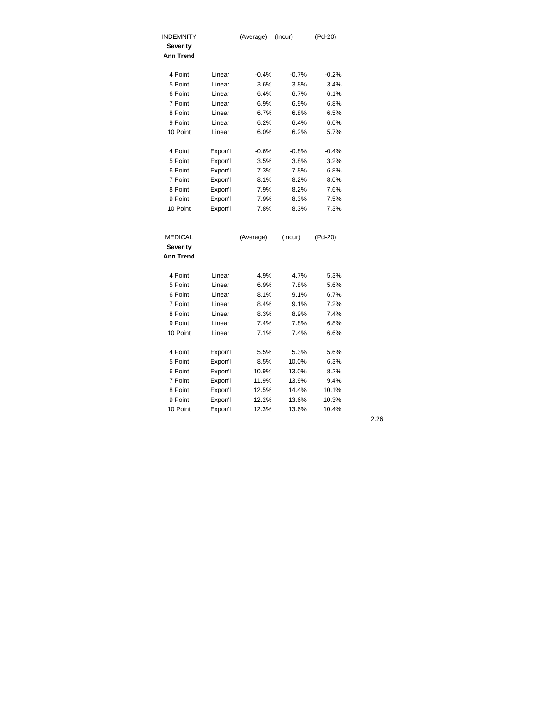| <b>INDEMNITY</b> |         | (Average) | (Incur) | (Pd-20) |
|------------------|---------|-----------|---------|---------|
| <b>Severity</b>  |         |           |         |         |
| <b>Ann Trend</b> |         |           |         |         |
|                  |         |           |         |         |
| 4 Point          | Linear  | $-0.4%$   | $-0.7%$ | $-0.2%$ |
| 5 Point          | Linear  | 3.6%      | 3.8%    | 3.4%    |
| 6 Point          | Linear  | 6.4%      | 6.7%    | 6.1%    |
| 7 Point          | Linear  | 6.9%      | 6.9%    | 6.8%    |
| 8 Point          | Linear  | 6.7%      | 6.8%    | 6.5%    |
| 9 Point          | Linear  | 6.2%      | 6.4%    | 6.0%    |
| 10 Point         | Linear  | 6.0%      | 6.2%    | 5.7%    |
| 4 Point          | Expon'l | $-0.6%$   | $-0.8%$ | $-0.4%$ |
| 5 Point          | Expon'l | 3.5%      | 3.8%    | 3.2%    |
| 6 Point          | Expon'l | 7.3%      | 7.8%    | 6.8%    |
| 7 Point          | Expon'l | 8.1%      | 8.2%    | 8.0%    |
| 8 Point          | Expon'l | 7.9%      | 8.2%    | 7.6%    |
| 9 Point          | Expon'l | 7.9%      | 8.3%    | 7.5%    |
| 10 Point         | Expon'l | 7.8%      | 8.3%    | 7.3%    |
|                  |         |           |         |         |
|                  |         |           |         |         |
| <b>MEDICAL</b>   |         | (Average) | (Incur) | (Pd-20) |
| <b>Severity</b>  |         |           |         |         |
| <b>Ann Trend</b> |         |           |         |         |
| 4 Point          | Linear  | 4.9%      | 4.7%    | 5.3%    |
| 5 Point          | Linear  | 6.9%      | 7.8%    | 5.6%    |
| 6 Point          | Linear  | 8.1%      | 9.1%    | 6.7%    |
| 7 Point          | Linear  | 8.4%      | 9.1%    | 7.2%    |
| 8 Point          | Linear  | 8.3%      | 8.9%    | 7.4%    |
| 9 Point          | Linear  | 7.4%      | 7.8%    | 6.8%    |
| 10 Point         | Linear  | 7.1%      | 7.4%    | 6.6%    |
| 4 Point          | Expon'l | 5.5%      | 5.3%    | 5.6%    |
| 5 Point          | Expon'l | 8.5%      | 10.0%   | 6.3%    |
| 6 Point          | Expon'l | 10.9%     | 13.0%   | 8.2%    |
| 7 Point          | Expon'l | 11.9%     | 13.9%   | 9.4%    |
| 8 Point          | Expon'l | 12.5%     | 14.4%   | 10.1%   |
| 9 Point          | Expon'l | 12.2%     | 13.6%   | 10.3%   |